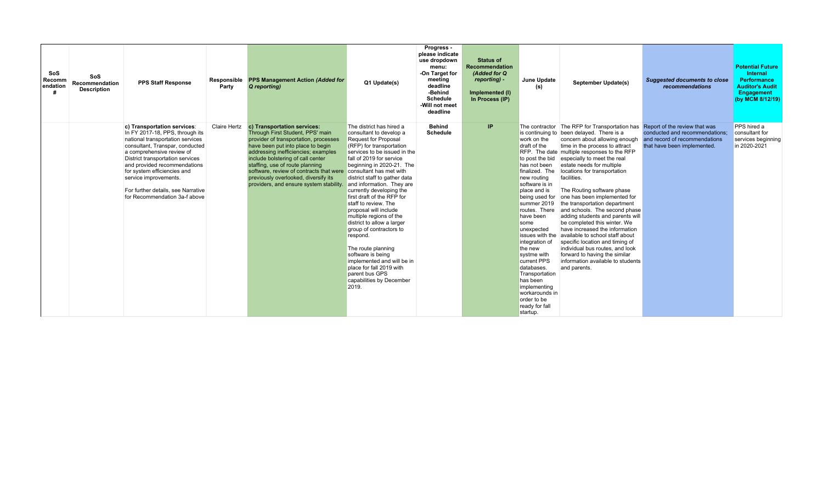| SoS<br>Recomm<br>endation | SoS<br><b>Recommendation</b><br><b>Description</b> | <b>PPS Staff Response</b>                                                                                                                                                                                                                                                                                                                                             | Responsible<br>Party | <b>PPS Management Action (Added for</b><br>Q reporting)                                                                                                                                                                                                                                                                                                                                                           | Q1 Update(s)                                                                                                                                                                                                                                                                                                                                                                                                                                                                                                                                                                                                                                 | Progress -<br>please indicate<br>use dropdown<br>menu:<br>-On Target for<br>meeting<br>deadline<br>-Behind<br><b>Schedule</b><br>-Will not meet<br>deadline | <b>Status of</b><br>Recommendation<br>(Added for Q<br>reporting) -<br>Implemented (I)<br>In Process (IP) | June Update<br>(s)                                                                                                                                                                                                                                                                                                                                                                                           | September Update(s)                                                                                                                                                                                                                                                                                                                                                                                                                                                                                                                                                                                                                                                                                                                                                                                        | <b>Suggested documents to close</b><br>recommendations                                         | <b>Potential Future</b><br><b>Internal</b><br><b>Performance</b><br><b>Auditor's Audit</b><br>Engagement<br>(by MCM 8/12/19) |
|---------------------------|----------------------------------------------------|-----------------------------------------------------------------------------------------------------------------------------------------------------------------------------------------------------------------------------------------------------------------------------------------------------------------------------------------------------------------------|----------------------|-------------------------------------------------------------------------------------------------------------------------------------------------------------------------------------------------------------------------------------------------------------------------------------------------------------------------------------------------------------------------------------------------------------------|----------------------------------------------------------------------------------------------------------------------------------------------------------------------------------------------------------------------------------------------------------------------------------------------------------------------------------------------------------------------------------------------------------------------------------------------------------------------------------------------------------------------------------------------------------------------------------------------------------------------------------------------|-------------------------------------------------------------------------------------------------------------------------------------------------------------|----------------------------------------------------------------------------------------------------------|--------------------------------------------------------------------------------------------------------------------------------------------------------------------------------------------------------------------------------------------------------------------------------------------------------------------------------------------------------------------------------------------------------------|------------------------------------------------------------------------------------------------------------------------------------------------------------------------------------------------------------------------------------------------------------------------------------------------------------------------------------------------------------------------------------------------------------------------------------------------------------------------------------------------------------------------------------------------------------------------------------------------------------------------------------------------------------------------------------------------------------------------------------------------------------------------------------------------------------|------------------------------------------------------------------------------------------------|------------------------------------------------------------------------------------------------------------------------------|
|                           |                                                    | c) Transportation services:<br>In FY 2017-18, PPS, through its<br>national transportation services<br>consultant, Transpar, conducted<br>a comprehensive review of<br>District transportation services<br>and provided recommendations<br>for system efficiencies and<br>service improvements.<br>For further details, see Narrative<br>for Recommendation 3a-f above | <b>Claire Hertz</b>  | c) Transportation services:<br>Through First Student, PPS' main<br>provider of transportation, processes<br>have been put into place to begin<br>addressing inefficiencies; examples<br>include bolstering of call center<br>staffing, use of route planning<br>software, review of contracts that were consultant has met with<br>previously overlooked, diversify its<br>providers, and ensure system stability | The district has hired a<br>consultant to develop a<br><b>Request for Proposal</b><br>(RFP) for transportation<br>services to be issued in the<br>fall of 2019 for service<br>beginning in 2020-21. The<br>district staff to gather data<br>and information. They are<br>currently developing the<br>first draft of the RFP for<br>staff to review. The<br>proposal will include<br>multiple regions of the<br>district to allow a larger<br>group of contractors to<br>respond.<br>The route planning<br>software is being<br>implemented and will be in<br>place for fall 2019 with<br>parent bus GPS<br>capabilities by December<br>2019. | <b>Behind</b><br><b>Schedule</b>                                                                                                                            | IP                                                                                                       | work on the<br>draft of the<br>to post the bid<br>has not been<br>finalized. The<br>new routing<br>software is in<br>place and is<br>being used for<br>summer 2019<br>routes. There<br>have been<br>some<br>unexpected<br>integration of<br>the new<br>systme with<br>current PPS<br>databases.<br>Transportation<br>has been<br>implementing<br>workarounds in<br>order to be<br>ready for fall<br>startup. | The contractor The RFP for Transportation has Report of the review that was<br>is continuing to been delayed. There is a<br>concern about allowing enough<br>time in the process to attract<br>RFP. The date multiple responses to the RFP<br>especially to meet the real<br>estate needs for multiple<br>locations for transportation<br>facilities.<br>The Routing software phase<br>one has been implemented for<br>the transportation department<br>and schools. The second phase<br>adding students and parents will<br>be completed this winter. We<br>have increased the information<br>issues with the available to school staff about<br>specific location and timing of<br>individual bus routes, and look<br>forward to having the similar<br>information available to students<br>and parents. | conducted and recommendations;<br>and record of recommendations<br>that have been implemented. | PPS hired a<br>consultant for<br>services beginning<br>in 2020-2021                                                          |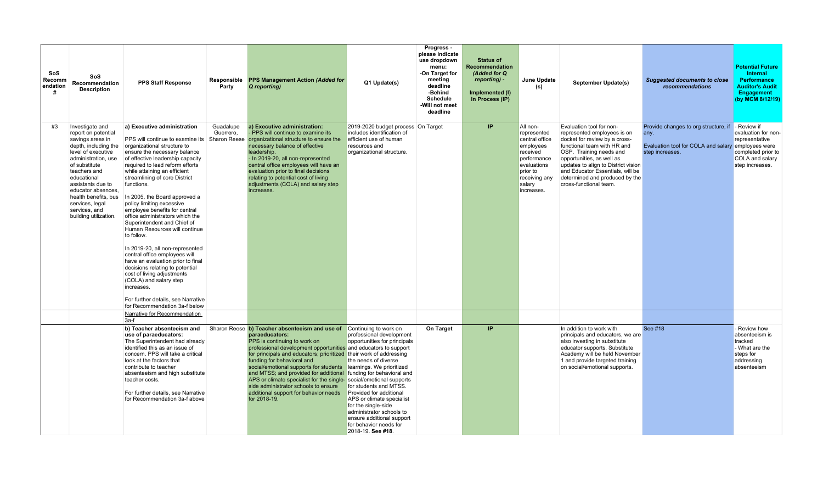| SoS<br>Recomm<br>endation | SoS<br>Recommendation<br><b>Description</b>                                                                                                                                                                                                                                                                     | <b>PPS Staff Response</b>                                                                                                                                                                                                                                                                                                                                                                                                                                                                                                                                                                                                                                                                                                                                 | Responsible<br>Party   | <b>PPS Management Action (Added for</b><br>Q reporting)                                                                                                                                                                                                                                                                                                                                                                                                                                                                                                                             | Q1 Update(s)                                                                                                                                                                                                                                                                                                                   | Progress -<br>please indicate<br>use dropdown<br>menu:<br>-On Target for<br>meeting<br>deadline<br>-Behind<br><b>Schedule</b><br>-Will not meet<br>deadline | <b>Status of</b><br>Recommendation<br>(Added for Q<br>reporting) -<br>Implemented (I)<br>In Process (IP) | <b>June Update</b><br>(s)                                                                                                                             | <b>September Update(s)</b>                                                                                                                                                                                                                                                                                             | <b>Suggested documents to close</b><br>recommendations                                                                            | <b>Potential Future</b><br><b>Internal</b><br><b>Performance</b><br><b>Auditor's Audit</b><br>Engagement<br>(by MCM 8/12/19) |
|---------------------------|-----------------------------------------------------------------------------------------------------------------------------------------------------------------------------------------------------------------------------------------------------------------------------------------------------------------|-----------------------------------------------------------------------------------------------------------------------------------------------------------------------------------------------------------------------------------------------------------------------------------------------------------------------------------------------------------------------------------------------------------------------------------------------------------------------------------------------------------------------------------------------------------------------------------------------------------------------------------------------------------------------------------------------------------------------------------------------------------|------------------------|-------------------------------------------------------------------------------------------------------------------------------------------------------------------------------------------------------------------------------------------------------------------------------------------------------------------------------------------------------------------------------------------------------------------------------------------------------------------------------------------------------------------------------------------------------------------------------------|--------------------------------------------------------------------------------------------------------------------------------------------------------------------------------------------------------------------------------------------------------------------------------------------------------------------------------|-------------------------------------------------------------------------------------------------------------------------------------------------------------|----------------------------------------------------------------------------------------------------------|-------------------------------------------------------------------------------------------------------------------------------------------------------|------------------------------------------------------------------------------------------------------------------------------------------------------------------------------------------------------------------------------------------------------------------------------------------------------------------------|-----------------------------------------------------------------------------------------------------------------------------------|------------------------------------------------------------------------------------------------------------------------------|
| #3                        | Investigate and<br>report on potential<br>savings areas in<br>depth, including the<br>level of executive<br>administration, use<br>of substitute<br>teachers and<br>educational<br>assistants due to<br>educator absences.<br>health benefits, bus<br>services, legal<br>services, and<br>building utilization. | a) Executive administration<br>organizational structure to<br>ensure the necessary balance<br>of effective leadership capacity<br>required to lead reform efforts<br>while attaining an efficient<br>streamlining of core District<br>functions.<br>In 2005, the Board approved a<br>policy limiting excessive<br>employee benefits for central<br>office administrators which the<br>Superintendent and Chief of<br>Human Resources will continue<br>to follow.<br>In 2019-20, all non-represented<br>central office employees will<br>have an evaluation prior to final<br>decisions relating to potential<br>cost of living adjustments<br>(COLA) and salary step<br>increases.<br>For further details, see Narrative<br>for Recommendation 3a-f below | Guadalupe<br>Guerrero. | a) Executive administration:<br>PPS will continue to examine its<br>PPS will continue to examine its Sharon Reese organizational structure to ensure the<br>necessary balance of effective<br>leadership.<br>- In 2019-20, all non-represented<br>central office employees will have an<br>evaluation prior to final decisions<br>relating to potential cost of living<br>adjustments (COLA) and salary step<br>increases.                                                                                                                                                          | 2019-2020 budget process On Target<br>includes identification of<br>efficient use of human<br>resources and<br>organizational structure.                                                                                                                                                                                       |                                                                                                                                                             | IP                                                                                                       | All non-<br>represented<br>central office<br>employees<br>received<br>performance<br>evaluations<br>prior to<br>receiving any<br>salary<br>increases. | Evaluation tool for non-<br>represented employees is on<br>docket for review by a cross-<br>functional team with HR and<br>OSP. Training needs and<br>opportunities, as well as<br>updates to align to District vision<br>and Educator Essentials, will be<br>determined and produced by the<br>cross-functional team. | Provide changes to org structure, if - Review if<br>any.<br>Evaluation tool for COLA and salary employees were<br>step increases. | evaluation for non-<br>representative<br>completed prior to<br>COLA and salary<br>step increases.                            |
|                           |                                                                                                                                                                                                                                                                                                                 | Narrative for Recommendation<br>3a-f                                                                                                                                                                                                                                                                                                                                                                                                                                                                                                                                                                                                                                                                                                                      |                        |                                                                                                                                                                                                                                                                                                                                                                                                                                                                                                                                                                                     |                                                                                                                                                                                                                                                                                                                                |                                                                                                                                                             |                                                                                                          |                                                                                                                                                       |                                                                                                                                                                                                                                                                                                                        |                                                                                                                                   |                                                                                                                              |
|                           |                                                                                                                                                                                                                                                                                                                 | b) Teacher absenteeism and<br>use of paraeducators:<br>The Superintendent had already<br>identified this as an issue of<br>concern. PPS will take a critical<br>look at the factors that<br>contribute to teacher<br>absenteeism and high substitute<br>teacher costs.<br>For further details, see Narrative<br>for Recommendation 3a-f above                                                                                                                                                                                                                                                                                                                                                                                                             |                        | Sharon Reese b) Teacher absenteeism and use of Continuing to work on<br>paraeducators:<br>PPS is continuing to work on<br>professional development opportunities and educators to support<br>for principals and educators; prioritized their work of addressing<br>funding for behavioral and<br>social/emotional supports for students<br>and MTSS; and provided for additional funding for behavioral and<br>APS or climate specialist for the single- social/emotional supports<br>side administrator schools to ensure<br>additional support for behavior needs<br>for 2018-19. | professional development<br>opportunities for principals<br>the needs of diverse<br>learnings. We prioritized<br>for students and MTSS.<br>Provided for additional<br>APS or climate specialist<br>for the single-side<br>administrator schools to<br>ensure additional support<br>for behavior needs for<br>2018-19. See #18. | On Target                                                                                                                                                   | IP                                                                                                       |                                                                                                                                                       | In addition to work with<br>principals and educators, we are<br>also investing in substitute<br>educator supports. Substitute<br>Academy will be held November<br>1 and provide targeted training<br>on social/emotional supports.                                                                                     | See #18                                                                                                                           | - Review how<br>absenteeism is<br>tracked<br>- What are the<br>steps for<br>addressing<br>absenteeism                        |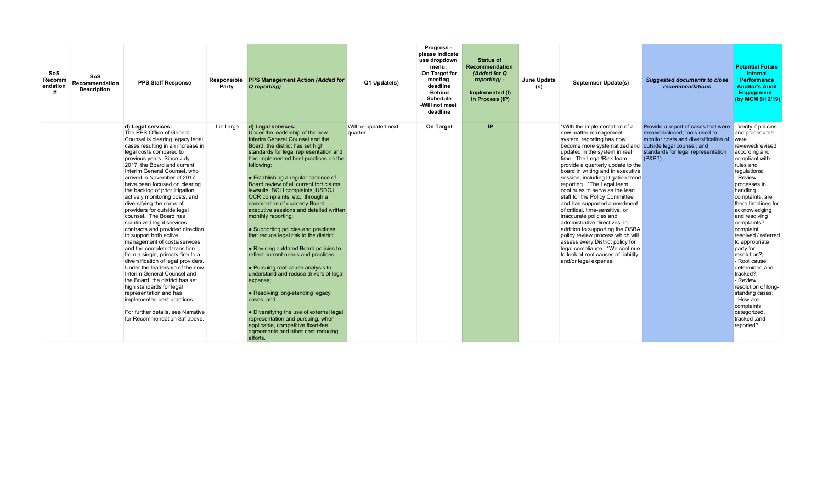| <b>SoS</b><br>Recomm<br>endation | SoS<br>Recommendation<br><b>Description</b> | <b>PPS Staff Response</b>                                                                                                                                                                                                                                                                                                                                                                                                                                                                                                                                                                                                                                                                                                                                                                                                                                                                                                                                                             | Responsible<br>Party | <b>PPS Management Action (Added for</b><br>Q reporting)                                                                                                                                                                                                                                                                                                                                                                                                                                                                                                                                                                                                                                                                                                                                                                                                                                                                                                                            | Q1 Update(s)                     | Progress -<br>please indicate<br>use dropdown<br>menu:<br>-On Target for<br>meeting<br>deadline<br>-Behind<br><b>Schedule</b><br>-Will not meet<br>deadline | <b>Status of</b><br>Recommendation<br>(Added for Q<br>reporting) -<br>Implemented (I)<br>In Process (IP) | June Update<br>September Update(s)<br>(s)                                                                                                                                                                                                                                                                                                                                                                                                                                                                                                                                                                                                                                                                                                       | <b>Suggested documents to close</b><br><i>recommendations</i>                                                                                                                               | <b>Potential Future</b><br><b>Internal</b><br><b>Performance</b><br><b>Auditor's Audit</b><br>Engagement<br>(by MCM 8/12/19)                                                                                                                                                                                                                                                                                                                                                                                                           |
|----------------------------------|---------------------------------------------|---------------------------------------------------------------------------------------------------------------------------------------------------------------------------------------------------------------------------------------------------------------------------------------------------------------------------------------------------------------------------------------------------------------------------------------------------------------------------------------------------------------------------------------------------------------------------------------------------------------------------------------------------------------------------------------------------------------------------------------------------------------------------------------------------------------------------------------------------------------------------------------------------------------------------------------------------------------------------------------|----------------------|------------------------------------------------------------------------------------------------------------------------------------------------------------------------------------------------------------------------------------------------------------------------------------------------------------------------------------------------------------------------------------------------------------------------------------------------------------------------------------------------------------------------------------------------------------------------------------------------------------------------------------------------------------------------------------------------------------------------------------------------------------------------------------------------------------------------------------------------------------------------------------------------------------------------------------------------------------------------------------|----------------------------------|-------------------------------------------------------------------------------------------------------------------------------------------------------------|----------------------------------------------------------------------------------------------------------|-------------------------------------------------------------------------------------------------------------------------------------------------------------------------------------------------------------------------------------------------------------------------------------------------------------------------------------------------------------------------------------------------------------------------------------------------------------------------------------------------------------------------------------------------------------------------------------------------------------------------------------------------------------------------------------------------------------------------------------------------|---------------------------------------------------------------------------------------------------------------------------------------------------------------------------------------------|----------------------------------------------------------------------------------------------------------------------------------------------------------------------------------------------------------------------------------------------------------------------------------------------------------------------------------------------------------------------------------------------------------------------------------------------------------------------------------------------------------------------------------------|
|                                  |                                             | d) Legal services:<br>The PPS Office of General<br>Counsel is clearing legacy legal<br>cases resulting in an increase in<br>legal costs compared to<br>previous years. Since July<br>2017, the Board and current<br>Interim General Counsel, who<br>arrived in November of 2017.<br>have been focused on clearing<br>the backlog of prior litigation,<br>actively monitoring costs, and<br>diversifying the corps of<br>providers for outside legal<br>counsel. The Board has<br>scrutinized legal services<br>contracts and provided direction<br>to support both active<br>management of costs/services<br>and the completed transition<br>from a single, primary firm to a<br>diversification of legal providers.<br>Under the leadership of the new<br>Interim General Counsel and<br>the Board, the district has set<br>high standards for legal<br>representation and has<br>implemented best practices.<br>For further details, see Narrative<br>for Recommendation 3af above. | Liz Large            | d) Legal services:<br>Under the leadership of the new<br>Interim General Counsel and the<br>Board, the district has set high<br>standards for legal representation and<br>has implemented best practices on the<br>following:<br>• Establishing a regular cadence of<br>Board review of all current tort claims.<br>lawsuits, BOLI complaints, USDOJ<br>OCR complaints, etc., through a<br>combination of quarterly Board<br>executive sessions and detailed written<br>monthly reporting;<br>• Supporting policies and practices<br>that reduce legal risk to the district;<br>• Revising outdated Board policies to<br>reflect current needs and practices;<br>• Pursuing root-cause analysis to<br>understand and reduce drivers of legal<br>expense;<br>• Resolving long-standing legacy<br>cases; and<br>• Diversifying the use of external legal<br>representation and pursuing, when<br>applicable, competitive fixed-fee<br>agreements and other cost-reducing<br>efforts. | Will be updated next<br>quarter. | On Target                                                                                                                                                   | IP                                                                                                       | *With the implementation of a<br>new matter management<br>system, reporting has now<br>become more systematized and<br>updated in the system in real<br>time. The Legal/Risk team<br>provide a quarterly update to the<br>board in writing and in executive<br>session, including litigation trend<br>reporting. *The Legal team<br>continues to serve as the lead<br>staff for the Policy Committee<br>and has supported amendment<br>of critical, time-sensitive, or<br>inaccurate policies and<br>administrative directives, in<br>addition to supporting the OSBA<br>policy review process which will<br>assess every District policy for<br>legal compliance. *We continue<br>to look at root causes of liability<br>and/or legal expense. | Provide a report of cases that were<br>resolved/closed: tools used to<br>monitor costs and diversification of<br>outside legal counsel; and<br>standards for legal representation<br>(P&P?) | - Verify if policies<br>and procedures<br>were<br>reviewed/revised<br>according and<br>compliant with<br>rules and<br>requlations;<br>- Review<br>processes in<br>handling<br>complaints; are<br>there timelines for<br>acknowledging<br>and resolving<br>complaints?;<br>complaint<br>resolved / referred<br>to appropriate<br>party for<br>resolution?:<br>- Root cause<br>determined and<br>tracked?:<br>- Review<br>resolution of long-<br>standing cases;<br>- How are<br>complaints<br>categorized,<br>tracked, and<br>reported? |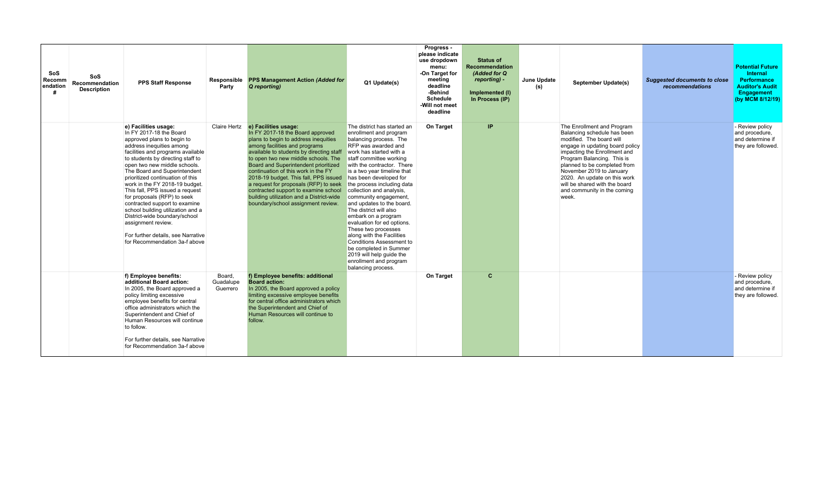| SoS<br>Recomm<br>endation<br># | SoS<br>Recommendation<br><b>Description</b> | <b>PPS Staff Response</b>                                                                                                                                                                                                                                                                                                                                                                                                                                                                                                                                                                       | Responsible<br>Party            | PPS Management Action (Added for<br>Q reporting)                                                                                                                                                                                                                                                                                                                                                                                                                                                                | Q1 Update(s)                                                                                                                                                                                                                                                                                                                                                                                                                                                                                                                                                                                                                                    | Progress -<br>please indicate<br>use dropdown<br>menu:<br>-On Target for<br>meeting<br>deadline<br>-Behind<br><b>Schedule</b><br>-Will not meet<br>deadline | <b>Status of</b><br>Recommendation<br>(Added for Q)<br>reporting) -<br>Implemented (I)<br>In Process (IP) | June Update<br>(s) | <b>September Update(s)</b>                                                                                                                                                                                                                                                                                                                                  | <b>Suggested documents to close</b><br>recommendations | <b>Potential Future</b><br>Internal<br><b>Performance</b><br><b>Auditor's Audit</b><br>Engagement<br>(by MCM 8/12/19) |
|--------------------------------|---------------------------------------------|-------------------------------------------------------------------------------------------------------------------------------------------------------------------------------------------------------------------------------------------------------------------------------------------------------------------------------------------------------------------------------------------------------------------------------------------------------------------------------------------------------------------------------------------------------------------------------------------------|---------------------------------|-----------------------------------------------------------------------------------------------------------------------------------------------------------------------------------------------------------------------------------------------------------------------------------------------------------------------------------------------------------------------------------------------------------------------------------------------------------------------------------------------------------------|-------------------------------------------------------------------------------------------------------------------------------------------------------------------------------------------------------------------------------------------------------------------------------------------------------------------------------------------------------------------------------------------------------------------------------------------------------------------------------------------------------------------------------------------------------------------------------------------------------------------------------------------------|-------------------------------------------------------------------------------------------------------------------------------------------------------------|-----------------------------------------------------------------------------------------------------------|--------------------|-------------------------------------------------------------------------------------------------------------------------------------------------------------------------------------------------------------------------------------------------------------------------------------------------------------------------------------------------------------|--------------------------------------------------------|-----------------------------------------------------------------------------------------------------------------------|
|                                |                                             | e) Facilities usage:<br>In FY 2017-18 the Board<br>approved plans to begin to<br>address inequities among<br>facilities and programs available<br>to students by directing staff to<br>open two new middle schools.<br>The Board and Superintendent<br>prioritized continuation of this<br>work in the FY 2018-19 budget.<br>This fall, PPS issued a request<br>for proposals (RFP) to seek<br>contracted support to examine<br>school building utilization and a<br>District-wide boundary/school<br>assignment review.<br>For further details, see Narrative<br>for Recommendation 3a-f above | Claire Hertz                    | e) Facilities usage:<br>In FY 2017-18 the Board approved<br>plans to begin to address inequities<br>among facilities and programs<br>available to students by directing staff<br>to open two new middle schools. The<br>Board and Superintendent prioritized<br>continuation of this work in the FY<br>2018-19 budget. This fall, PPS issued<br>a request for proposals (RFP) to seek<br>contracted support to examine school<br>building utilization and a District-wide<br>boundary/school assignment review. | The district has started an<br>enrollment and program<br>balancing process. The<br>RFP was awarded and<br>work has started with a<br>staff committee working<br>with the contractor. There<br>is a two year timeline that<br>has been developed for<br>the process including data<br>collection and analysis.<br>community engagement,<br>and updates to the board.<br>The district will also<br>embark on a program<br>evaluation for ed options.<br>These two processes<br>along with the Facilities<br><b>Conditions Assessment to</b><br>be completed in Summer<br>2019 will help quide the<br>enrollment and program<br>balancing process. | On Target                                                                                                                                                   | IP                                                                                                        |                    | The Enrollment and Program<br>Balancing schedule has been<br>modified. The board will<br>engage in updating board policy<br>impacting the Enrollment and<br>Program Balancing. This is<br>planned to be completed from<br>November 2019 to January<br>2020. An update on this work<br>will be shared with the board<br>and community in the coming<br>week. |                                                        | - Review policy<br>and procedure,<br>and determine if<br>they are followed.                                           |
|                                |                                             | f) Employee benefits:<br>additional Board action:<br>In 2005, the Board approved a<br>policy limiting excessive<br>employee benefits for central<br>office administrators which the<br>Superintendent and Chief of<br>Human Resources will continue<br>to follow.<br>For further details, see Narrative<br>for Recommendation 3a-f above                                                                                                                                                                                                                                                        | Board.<br>Guadalupe<br>Guerrero | f) Employee benefits: additional<br><b>Board action:</b><br>In 2005, the Board approved a policy<br>limiting excessive employee benefits<br>for central office administrators which<br>the Superintendent and Chief of<br>Human Resources will continue to<br>follow.                                                                                                                                                                                                                                           |                                                                                                                                                                                                                                                                                                                                                                                                                                                                                                                                                                                                                                                 | On Target                                                                                                                                                   | $\mathbf c$                                                                                               |                    |                                                                                                                                                                                                                                                                                                                                                             |                                                        | - Review policy<br>and procedure,<br>and determine if<br>they are followed.                                           |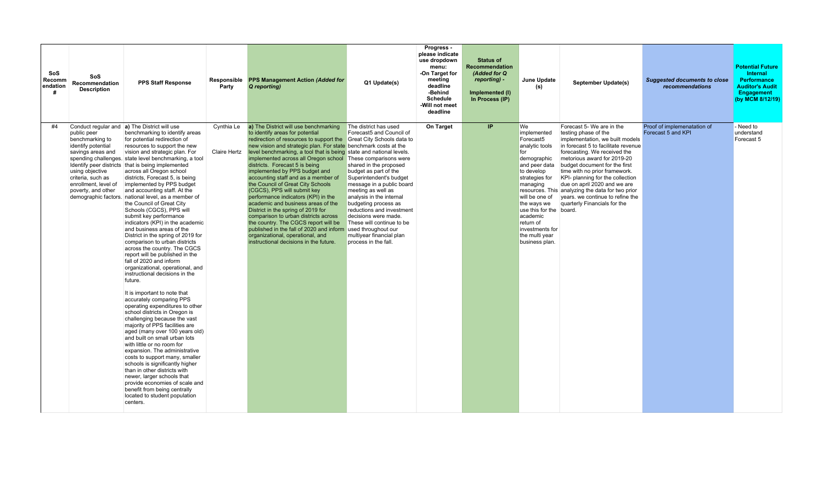| SoS<br><b>Recomm</b><br>endation<br># | SoS<br><b>Recommendation</b><br><b>Description</b>                                                                                                              | <b>PPS Staff Response</b>                                                                                                                                                                                                                                                                                                                                                                                                                                                                                                                                                                                                                                                                                                                                                                                                                                                                                                                                                                                                                                                                                                                                                                                                                                                                                                                                                                                                                                                                 | Party                      | Responsible PPS Management Action (Added for<br>Q reportina)                                                                                                                                                                                                                                                                                                                                                                                                                                                                                                                                                                                                                                                                                                                                                                                                       | Q1 Update(s)                                                                                                                                                                                                                                                                                                                                                                                        | Progress -<br>please indicate<br>use dropdown<br>menu:<br>-On Target for<br>meeting<br>deadline<br>-Behind<br><b>Schedule</b><br>-Will not meet<br>deadline | <b>Status of</b><br>Recommendation<br>(Added for Q<br>reporting) -<br>Implemented (I)<br>In Process (IP) | June Update<br>(s)                                                                                                                                                                                                                                                                          | September Update(s)                                                                                                                                                                                                                                                                                                                                                                                                                                      | <b>Suggested documents to close</b><br>recommendations | <b>Potential Future</b><br><b>Internal</b><br><b>Performance</b><br><b>Auditor's Audit</b><br><b>Engagement</b><br>(by MCM 8/12/19) |
|---------------------------------------|-----------------------------------------------------------------------------------------------------------------------------------------------------------------|-------------------------------------------------------------------------------------------------------------------------------------------------------------------------------------------------------------------------------------------------------------------------------------------------------------------------------------------------------------------------------------------------------------------------------------------------------------------------------------------------------------------------------------------------------------------------------------------------------------------------------------------------------------------------------------------------------------------------------------------------------------------------------------------------------------------------------------------------------------------------------------------------------------------------------------------------------------------------------------------------------------------------------------------------------------------------------------------------------------------------------------------------------------------------------------------------------------------------------------------------------------------------------------------------------------------------------------------------------------------------------------------------------------------------------------------------------------------------------------------|----------------------------|--------------------------------------------------------------------------------------------------------------------------------------------------------------------------------------------------------------------------------------------------------------------------------------------------------------------------------------------------------------------------------------------------------------------------------------------------------------------------------------------------------------------------------------------------------------------------------------------------------------------------------------------------------------------------------------------------------------------------------------------------------------------------------------------------------------------------------------------------------------------|-----------------------------------------------------------------------------------------------------------------------------------------------------------------------------------------------------------------------------------------------------------------------------------------------------------------------------------------------------------------------------------------------------|-------------------------------------------------------------------------------------------------------------------------------------------------------------|----------------------------------------------------------------------------------------------------------|---------------------------------------------------------------------------------------------------------------------------------------------------------------------------------------------------------------------------------------------------------------------------------------------|----------------------------------------------------------------------------------------------------------------------------------------------------------------------------------------------------------------------------------------------------------------------------------------------------------------------------------------------------------------------------------------------------------------------------------------------------------|--------------------------------------------------------|-------------------------------------------------------------------------------------------------------------------------------------|
| #4                                    | public peer<br>benchmarking to<br>identify potential<br>savings areas and<br>using objective<br>criteria, such as<br>enrollment. level of<br>poverty, and other | Conduct regular and <b>a</b> ) The District will use<br>benchmarking to identify areas<br>for potential redirection of<br>resources to support the new<br>vision and strategic plan. For<br>spending challenges. state level benchmarking, a tool<br>Identify peer districts that is being implemented<br>across all Oregon school<br>districts, Forecast 5, is being<br>implemented by PPS budget<br>and accounting staff. At the<br>demographic factors. national level, as a member of<br>the Council of Great City<br>Schools (CGCS), PPS will<br>submit key performance<br>indicators (KPI) in the academic<br>and business areas of the<br>District in the spring of 2019 for<br>comparison to urban districts<br>across the country. The CGCS<br>report will be published in the<br>fall of 2020 and inform<br>organizational, operational, and<br>instructional decisions in the<br>future.<br>It is important to note that<br>accurately comparing PPS<br>operating expenditures to other<br>school districts in Oregon is<br>challenging because the vast<br>maiority of PPS facilities are<br>aged (many over 100 years old)<br>and built on small urban lots<br>with little or no room for<br>expansion. The administrative<br>costs to support many, smaller<br>schools is significantly higher<br>than in other districts with<br>newer, larger schools that<br>provide economies of scale and<br>benefit from being centrally<br>located to student population<br>centers. | Cynthia Le<br>Claire Hertz | a) The District will use benchmarking<br>to identify areas for potential<br>redirection of resources to support the Great City Schools data to<br>new vision and strategic plan. For state benchmark costs at the<br>level benchmarking, a tool that is being state and national levels.<br>implemented across all Oregon school These comparisons were<br>districts. Forecast 5 is being<br>implemented by PPS budget and<br>accounting staff and as a member of<br>the Council of Great City Schools<br>(CGCS), PPS will submit key<br>performance indicators (KPI) in the<br>academic and business areas of the<br>District in the spring of 2019 for<br>comparison to urban districts across<br>the country. The CGCS report will be<br>published in the fall of 2020 and inform<br>organizational, operational, and<br>instructional decisions in the future. | The district has used<br>Forecast5 and Council of<br>shared in the proposed<br>budget as part of the<br>Superintendent's budget<br>message in a public board<br>meeting as well as<br>analysis in the internal<br>budgeting process as<br>reductions and investment<br>decisions were made.<br>These will continue to be<br>used throughout our<br>multiyear financial plan<br>process in the fall. | On Target                                                                                                                                                   | IP                                                                                                       | We<br>implemented<br>Forecast <sub>5</sub><br>analytic tools<br>for<br>demographic<br>and peer data<br>to develop<br>strategies for<br>managing<br>will be one of<br>the ways we<br>use this for the board.<br>academic<br>return of<br>investments for<br>the multi year<br>business plan. | Forecast 5- We are in the<br>testing phase of the<br>implementation, we built models<br>in forecast 5 to facilitate revenue<br>forecasting. We received the<br>metorious award for 2019-20<br>budget document for the first<br>time with no prior framework.<br>KPI- planning for the collection<br>due on april 2020 and we are<br>resources. This analyzing the data for two prior<br>vears, we continue to refine the<br>quarterly Financials for the | Proof of implemenatation of<br>Forecast 5 and KPI      | - Need to<br>understand<br>Forecast 5                                                                                               |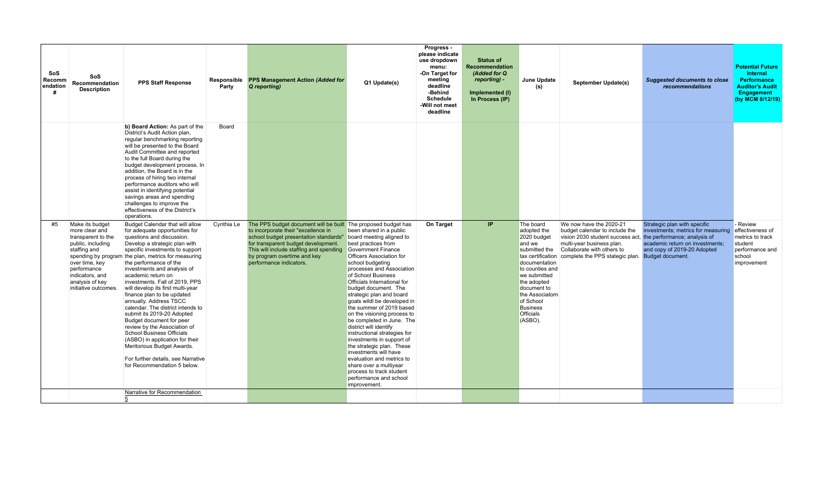|                                                                                                                                                                                                                                                                                                                                                                                                                                                                                                                                                                                                                                                                                                                                                                                                                                                                                                                                                                                |            |                                                                                                                                                                                                                                                                                           |                                                                                                                                                                                                                                                                                                                                                                                                                                                                                                                                                                                                                                                                                                       | <b>Schedule</b><br>-Will not meet<br>deadline | Implemented (I)<br>In Process (IP) | (s)                                                                                                                                                                                                                                    | September Update(s)                                                                                                                                                                                           | recommendations                                                                                                                                                                          | <b>Performance</b><br><b>Auditor's Audit</b><br>Engagement<br>(by MCM 8/12/19)                          |
|--------------------------------------------------------------------------------------------------------------------------------------------------------------------------------------------------------------------------------------------------------------------------------------------------------------------------------------------------------------------------------------------------------------------------------------------------------------------------------------------------------------------------------------------------------------------------------------------------------------------------------------------------------------------------------------------------------------------------------------------------------------------------------------------------------------------------------------------------------------------------------------------------------------------------------------------------------------------------------|------------|-------------------------------------------------------------------------------------------------------------------------------------------------------------------------------------------------------------------------------------------------------------------------------------------|-------------------------------------------------------------------------------------------------------------------------------------------------------------------------------------------------------------------------------------------------------------------------------------------------------------------------------------------------------------------------------------------------------------------------------------------------------------------------------------------------------------------------------------------------------------------------------------------------------------------------------------------------------------------------------------------------------|-----------------------------------------------|------------------------------------|----------------------------------------------------------------------------------------------------------------------------------------------------------------------------------------------------------------------------------------|---------------------------------------------------------------------------------------------------------------------------------------------------------------------------------------------------------------|------------------------------------------------------------------------------------------------------------------------------------------------------------------------------------------|---------------------------------------------------------------------------------------------------------|
| b) Board Action: As part of the<br>District's Audit Action plan,<br>regular benchmarking reporting<br>will be presented to the Board<br>Audit Committee and reported<br>to the full Board during the<br>budget development process. In<br>addition, the Board is in the<br>process of hiring two internal<br>performance auditors who will<br>assist in identifying potential<br>savings areas and spending<br>challenges to improve the<br>effectiveness of the District's<br>operations.                                                                                                                                                                                                                                                                                                                                                                                                                                                                                     | Board      |                                                                                                                                                                                                                                                                                           |                                                                                                                                                                                                                                                                                                                                                                                                                                                                                                                                                                                                                                                                                                       |                                               |                                    |                                                                                                                                                                                                                                        |                                                                                                                                                                                                               |                                                                                                                                                                                          |                                                                                                         |
| Budget Calendar that will allow<br>#5<br>Make its budget<br>for adequate opportunities for<br>more clear and<br>transparent to the<br>questions and discussion.<br>Develop a strategic plan with<br>public, including<br>staffing and<br>specific investments to support<br>spending by program the plan, metrics for measuring<br>the performance of the<br>over time, key<br>investments and analysis of<br>performance<br>indicators, and<br>academic return on<br>analysis of key<br>investments. Fall of 2019, PPS<br>initiative outcomes.<br>will develop its first multi-year<br>finance plan to be updated<br>annually. Address TSCC<br>calendar. The district intends to<br>submit its 2019-20 Adopted<br>Budget document for peer<br>review by the Association of<br>School Business Officials<br>(ASBO) in application for their<br>Meritorious Budget Awards.<br>For further details, see Narrative<br>for Recommendation 5 below.<br>Narrative for Recommendation | Cynthia Le | The PPS budget document will be built The proposed budget has<br>to incorporate their "excellence in<br>school budget presentation standards"<br>for transparent budget development.<br>This will include staffing and spending<br>by program overtime and key<br>performance indicators. | been shared in a public<br>board meeting aligned to<br>best practices from<br>Government Finance<br><b>Officers Association for</b><br>school budgeting<br>processes and Association<br>of School Business<br><b>Officials International for</b><br>budget document. The<br>strategic plan and board<br>goals wildl be developed in<br>the summer of 2019 based<br>on the visioning process to<br>be completed in June. The<br>district will identify<br>instructional strategies for<br>investments in support of<br>the strategic plan. These<br>investments will have<br>evaluation and metrics to<br>share over a multiyear<br>process to track student<br>performance and school<br>improvement. | <b>On Target</b>                              | IP.                                | The board<br>adopted the<br>2020 budget<br>and we<br>submitted the<br>documentation<br>to counties and<br>we submitted<br>the adopted<br>document to<br>the Associatorn<br>of School<br><b>Business</b><br><b>Officials</b><br>(ASBO). | We now have the 2020-21<br>budget calendar to include the<br>vision 2030 student success act,<br>multi-year business plan.<br>Collaborate with others to<br>tax certification complete the PPS stategic plan. | Strategic plan with specific<br>investments; metrics for measuring<br>the performance; analysis of<br>academic return on investments;<br>and copy of 2019-20 Adopted<br>Budget document. | - Review<br>effectiveness of<br>metrics to track<br>student<br>performance and<br>school<br>improvement |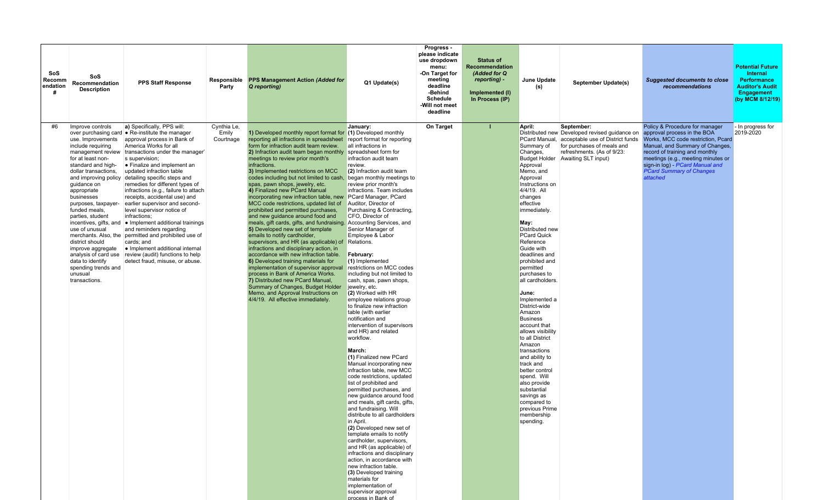| SoS<br>Recomm<br>endation | SoS<br>Recommendation<br><b>Description</b>                                                                                                                                                                                                                                                                                                                                                                              | <b>PPS Staff Response</b>                                                                                                                                                                                                                                                                                                                                                                                                                                                                                                                                                                                                                                                                                                                                               | Responsible<br>Party              | <b>PPS Management Action (Added for</b><br>Q reporting)                                                                                                                                                                                                                                                                                                                                                                                                                                                                                                                                                                                                                                                                                                                                                                                                                                                                                                                                                                                                                                                                                                                                             | Q1 Update(s)                                                                                                                                                                                                                                                                                                                                                                                                                                                                                                                                                                                                                                                                                                                                                                                                                                                                                                                                                                                                                                                                                                                                                                                                                                                                                     | Progress -<br>please indicate<br>use dropdown<br>menu:<br>-On Target for<br>meeting<br>deadline<br>-Behind<br><b>Schedule</b><br>-Will not meet<br>deadline | <b>Status of</b><br><b>Recommendation</b><br>(Added for Q<br>reporting) -<br>Implemented (I)<br>In Process (IP) | June Update<br>(s)                                                                                                                                                                                                                                                                                                                                                                                                                                                                                                                                                                                                                                                                          | September Update(s)                                                                                                                                                                | <b>Suggested documents to close</b><br>recommendations                                                                                                                                                                                                                                                 | <b>Potential Future</b><br>Internal<br><b>Performance</b><br><b>Auditor's Audit</b><br><b>Engagement</b><br>(by MCM 8/12/19) |
|---------------------------|--------------------------------------------------------------------------------------------------------------------------------------------------------------------------------------------------------------------------------------------------------------------------------------------------------------------------------------------------------------------------------------------------------------------------|-------------------------------------------------------------------------------------------------------------------------------------------------------------------------------------------------------------------------------------------------------------------------------------------------------------------------------------------------------------------------------------------------------------------------------------------------------------------------------------------------------------------------------------------------------------------------------------------------------------------------------------------------------------------------------------------------------------------------------------------------------------------------|-----------------------------------|-----------------------------------------------------------------------------------------------------------------------------------------------------------------------------------------------------------------------------------------------------------------------------------------------------------------------------------------------------------------------------------------------------------------------------------------------------------------------------------------------------------------------------------------------------------------------------------------------------------------------------------------------------------------------------------------------------------------------------------------------------------------------------------------------------------------------------------------------------------------------------------------------------------------------------------------------------------------------------------------------------------------------------------------------------------------------------------------------------------------------------------------------------------------------------------------------------|--------------------------------------------------------------------------------------------------------------------------------------------------------------------------------------------------------------------------------------------------------------------------------------------------------------------------------------------------------------------------------------------------------------------------------------------------------------------------------------------------------------------------------------------------------------------------------------------------------------------------------------------------------------------------------------------------------------------------------------------------------------------------------------------------------------------------------------------------------------------------------------------------------------------------------------------------------------------------------------------------------------------------------------------------------------------------------------------------------------------------------------------------------------------------------------------------------------------------------------------------------------------------------------------------|-------------------------------------------------------------------------------------------------------------------------------------------------------------|-----------------------------------------------------------------------------------------------------------------|---------------------------------------------------------------------------------------------------------------------------------------------------------------------------------------------------------------------------------------------------------------------------------------------------------------------------------------------------------------------------------------------------------------------------------------------------------------------------------------------------------------------------------------------------------------------------------------------------------------------------------------------------------------------------------------------|------------------------------------------------------------------------------------------------------------------------------------------------------------------------------------|--------------------------------------------------------------------------------------------------------------------------------------------------------------------------------------------------------------------------------------------------------------------------------------------------------|------------------------------------------------------------------------------------------------------------------------------|
| #6                        | Improve controls<br>use. Improvements<br>include requiring<br>for at least non-<br>standard and high-<br>dollar transactions,<br>and improving policy<br>quidance on<br>appropriate<br>businesses<br>purposes, taxpayer-<br>funded meals.<br>parties, student<br>incentives, gifts, and<br>use of unusual<br>district should<br>improve aggregate<br>data to identify<br>spending trends and<br>unusual<br>transactions. | a) Specifically, PPS will:<br>over purchasing card . Re-institute the manager<br>approval process in Bank of<br>America Works for all<br>management review transactions under the manager'<br>s supervision:<br>• Finalize and implement an<br>updated infraction table<br>detailing specific steps and<br>remedies for different types of<br>infractions (e.g., failure to attach<br>receipts, accidental use) and<br>earlier supervisor and second-<br>level supervisor notice of<br>infractions;<br>• Implement additional trainings<br>and reminders regarding<br>merchants. Also, the permitted and prohibited use of<br>cards; and<br>• Implement additional internal<br>analysis of card use review (audit) functions to help<br>detect fraud, misuse, or abuse. | Cynthia Le,<br>Emily<br>Courtnage | 1) Developed monthly report format for (1) Developed monthly<br>reporting all infractions in spreadsheet<br>form for infraction audit team review.<br>2) Infraction audit team began monthly spreadsheet form for<br>meetings to review prior month's<br>infractions.<br>3) Implemented restrictions on MCC<br>codes including but not limited to cash,<br>spas, pawn shops, jewelry, etc.<br>4) Finalized new PCard Manual<br>incorporating new infraction table, new PCard Manager, PCard<br>MCC code restrictions, updated list of Auditor, Director of<br>prohibited and permitted purchases,<br>and new guidance around food and<br>meals, gift cards, gifts, and fundraising. Accounting Services, and<br>5) Developed new set of template<br>emails to notify cardholder,<br>supervisors, and HR (as applicable) of Relations.<br>infractions and disciplinary action, in<br>accordance with new infraction table.<br>6) Developed training materials for<br>implementation of supervisor approval<br>process in Bank of America Works.<br>7) Distributed new PCard Manual,<br>Summary of Changes, Budget Holder<br>Memo, and Approval Instructions on<br>4/4/19. All effective immediately. | January:<br>report format for reporting<br>all infractions in<br>infraction audit team<br>review.<br>(2) Infraction audit team<br>began monthly meetings to<br>review prior month's<br>infractions. Team includes<br>Purchasing & Contracting,<br>CFO, Director of<br>Senior Manager of<br>Employee & Labor<br>February:<br>$(1)$ Implemented<br>restrictions on MCC codes<br>including but not limited to<br>cash, spas, pawn shops,<br>jewelry, etc.<br>(2) Worked with HR<br>employee relations group<br>to finalize new infraction<br>table (with earlier<br>notification and<br>intervention of supervisors<br>and HR) and related<br>workflow.<br>March:<br>(1) Finalized new PCard<br>Manual incorporating new<br>infraction table, new MCC<br>code restrictions, updated<br>list of prohibited and<br>permitted purchases, and<br>new quidance around food<br>and meals, gift cards, gifts,<br>and fundraising. Will<br>distribute to all cardholders<br>in April.<br>(2) Developed new set of<br>template emails to notify<br>cardholder, supervisors,<br>and HR (as applicable) of<br>infractions and disciplinary<br>action, in accordance with<br>new infraction table.<br>(3) Developed training<br>materials for<br>implementation of<br>supervisor approval<br>process in Bank of | On Target                                                                                                                                                   | т                                                                                                               | April:<br>PCard Manual,<br>Summary of<br>Changes,<br><b>Budget Holder</b><br>Approval<br>Memo, and<br>Approval<br>Instructions on<br>4/4/19. All<br>changes<br>effective<br>immediately.<br>May:<br>Distributed new<br><b>PCard Quick</b><br>Reference<br>Guide with<br>deadlines and<br>prohibited and<br>permitted<br>purchases to<br>all cardholders.<br>June:<br>Implemented a<br>District-wide<br>Amazon<br><b>Business</b><br>account that<br>allows visibility<br>to all District<br>Amazon<br>transactions<br>and ability to<br>track and<br>better control<br>spend. Will<br>also provide<br>substantial<br>savings as<br>compared to<br>previous Prime<br>membership<br>spending. | September:<br>Distributed new Developed revised guidance on<br>acceptable use of District funds<br>for purchases of meals and<br>refreshments. (As of 9/23:<br>Awaiting SLT input) | Policy & Procedure for manager<br>approval process in the BOA<br>Works, MCC code restriction. Pcard<br>Manual, and Summary of Changes,<br>record of training and monthly<br>meetings (e.g., meeting minutes or<br>sign-in log) - PCard Manual and<br><b>PCard Summary of Changes</b><br><b>ttached</b> | - In progress for<br>2019-2020                                                                                               |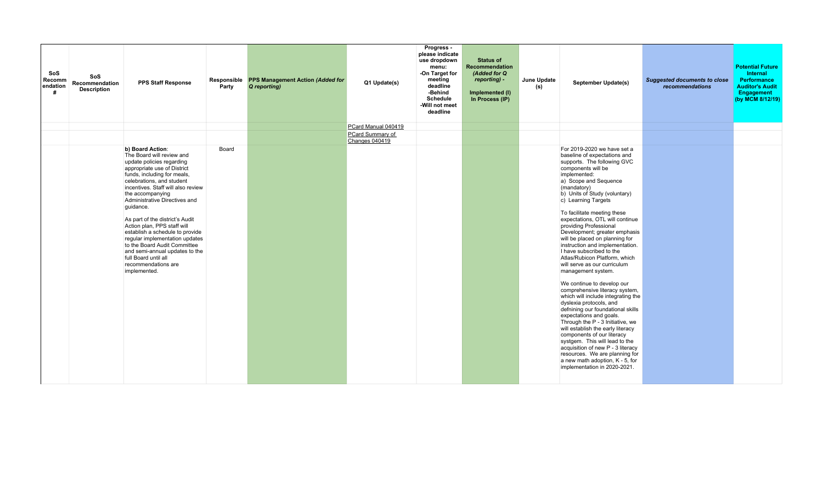| SoS<br>SoS<br>Recomm<br>Recommendation<br>endation<br><b>Description</b><br># | <b>PPS Staff Response</b>                                                                                                                                                                                                                                                                                                                                                                                                                                                                                                                             | Party | Responsible PPS Management Action (Added for<br>Q reporting) | Q1 Update(s)                       | Progress -<br>please indicate<br>use dropdown<br>menu:<br>-On Target for<br>meeting<br>deadline<br>-Behind<br><b>Schedule</b><br>-Will not meet<br>deadline | <b>Status of</b><br>Recommendation<br>(Added for Q<br>reporting) -<br>Implemented (I)<br>In Process (IP) | June Update<br>(s) | September Update(s)                                                                                                                                                                                                                                                                                                                                                                                                                                                                                                                                                                                                                                                                                                                                                                                                                                                                                                                                                                                                                       | <b>Suggested documents to close</b><br>recommendations | <b>Potential Future</b><br>Internal<br><b>Performance</b><br><b>Auditor's Audit</b><br>Engagement<br>(by MCM 8/12/19) |
|-------------------------------------------------------------------------------|-------------------------------------------------------------------------------------------------------------------------------------------------------------------------------------------------------------------------------------------------------------------------------------------------------------------------------------------------------------------------------------------------------------------------------------------------------------------------------------------------------------------------------------------------------|-------|--------------------------------------------------------------|------------------------------------|-------------------------------------------------------------------------------------------------------------------------------------------------------------|----------------------------------------------------------------------------------------------------------|--------------------|-------------------------------------------------------------------------------------------------------------------------------------------------------------------------------------------------------------------------------------------------------------------------------------------------------------------------------------------------------------------------------------------------------------------------------------------------------------------------------------------------------------------------------------------------------------------------------------------------------------------------------------------------------------------------------------------------------------------------------------------------------------------------------------------------------------------------------------------------------------------------------------------------------------------------------------------------------------------------------------------------------------------------------------------|--------------------------------------------------------|-----------------------------------------------------------------------------------------------------------------------|
|                                                                               |                                                                                                                                                                                                                                                                                                                                                                                                                                                                                                                                                       |       |                                                              | PCard Manual 040419                |                                                                                                                                                             |                                                                                                          |                    |                                                                                                                                                                                                                                                                                                                                                                                                                                                                                                                                                                                                                                                                                                                                                                                                                                                                                                                                                                                                                                           |                                                        |                                                                                                                       |
|                                                                               |                                                                                                                                                                                                                                                                                                                                                                                                                                                                                                                                                       |       |                                                              | PCard Summary of<br>Changes 040419 |                                                                                                                                                             |                                                                                                          |                    |                                                                                                                                                                                                                                                                                                                                                                                                                                                                                                                                                                                                                                                                                                                                                                                                                                                                                                                                                                                                                                           |                                                        |                                                                                                                       |
|                                                                               | b) Board Action:<br>The Board will review and<br>update policies regarding<br>appropriate use of District<br>funds, including for meals,<br>celebrations, and student<br>incentives. Staff will also review<br>the accompanying<br>Administrative Directives and<br>quidance.<br>As part of the district's Audit<br>Action plan, PPS staff will<br>establish a schedule to provide<br>regular implementation updates<br>to the Board Audit Committee<br>and semi-annual updates to the<br>full Board until all<br>recommendations are<br>implemented. | Board |                                                              |                                    |                                                                                                                                                             |                                                                                                          |                    | For 2019-2020 we have set a<br>baseline of expectations and<br>supports. The following GVC<br>components will be<br>implemented:<br>a) Scope and Sequence<br>(mandatory)<br>b) Units of Study (voluntary)<br>c) Learning Targets<br>To facilitate meeting these<br>expectations, OTL will continue<br>providing Professional<br>Development; greater emphasis<br>will be placed on planning for<br>instruction and implementation.<br>I have subscribed to the<br>Atlas/Rubicon Platform, which<br>will serve as our curriculum<br>management system.<br>We continue to develop our<br>comprehensive literacy system,<br>which will include integrating the<br>dyslexia protocols, and<br>defnining our foundational skills<br>expectations and goals.<br>Through the P - 3 Initiative, we<br>will establish the early literacy<br>components of our literacy<br>systgem. This will lead to the<br>acquisition of new P - 3 literacy<br>resources. We are planning for<br>a new math adoption, K - 5, for<br>implementation in 2020-2021. |                                                        |                                                                                                                       |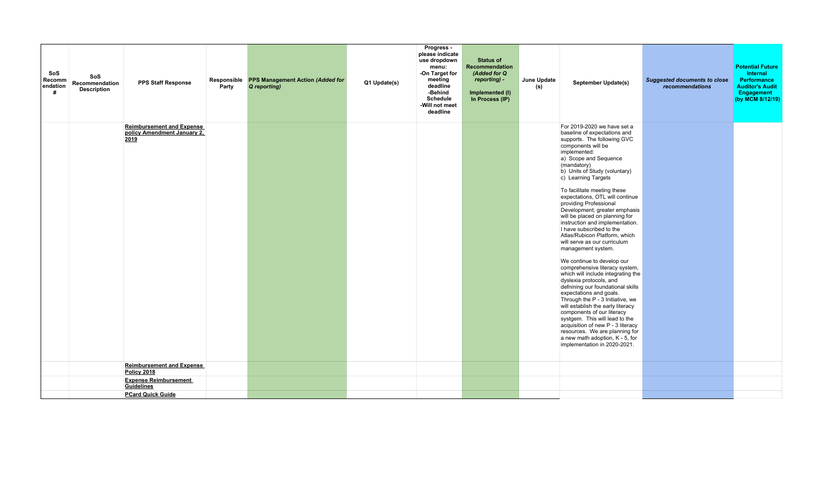| <b>SoS</b><br>Recomm<br>endation<br># | SoS<br>Recommendation<br><b>Description</b> | <b>PPS Staff Response</b>                                               | Party | Responsible PPS Management Action (Added for<br>Q reporting) | Q1 Update(s) | Progress -<br>please indicate<br>use dropdown<br>menu:<br>-On Target for<br>meeting<br>deadline<br>-Behind<br>Schedule<br>-Will not meet<br>deadline | <b>Status of</b><br>Recommendation<br>(Added for Q<br>reporting) -<br>Implemented (I)<br>In Process (IP) | June Update<br>(s) | September Update(s)                                                                                                                                                                                                                                                                                                                                                                                                                                                                                                                                                                                                                                                                                                                                                                                                                                                                                                                                                                                                                       | <b>Suggested documents to close</b><br>recommendations | <b>Potential Future</b><br>Internal<br>Performance<br><b>Auditor's Audit</b><br>Engagement<br>(by MCM 8/12/19) |
|---------------------------------------|---------------------------------------------|-------------------------------------------------------------------------|-------|--------------------------------------------------------------|--------------|------------------------------------------------------------------------------------------------------------------------------------------------------|----------------------------------------------------------------------------------------------------------|--------------------|-------------------------------------------------------------------------------------------------------------------------------------------------------------------------------------------------------------------------------------------------------------------------------------------------------------------------------------------------------------------------------------------------------------------------------------------------------------------------------------------------------------------------------------------------------------------------------------------------------------------------------------------------------------------------------------------------------------------------------------------------------------------------------------------------------------------------------------------------------------------------------------------------------------------------------------------------------------------------------------------------------------------------------------------|--------------------------------------------------------|----------------------------------------------------------------------------------------------------------------|
|                                       |                                             | <b>Reimbursement and Expense</b><br>policy Amendment January 2.<br>2019 |       |                                                              |              |                                                                                                                                                      |                                                                                                          |                    | For 2019-2020 we have set a<br>baseline of expectations and<br>supports. The following GVC<br>components will be<br>implemented:<br>a) Scope and Sequence<br>(mandatory)<br>b) Units of Study (voluntary)<br>c) Learning Targets<br>To facilitate meeting these<br>expectations, OTL will continue<br>providing Professional<br>Development; greater emphasis<br>will be placed on planning for<br>instruction and implementation.<br>I have subscribed to the<br>Atlas/Rubicon Platform, which<br>will serve as our curriculum<br>management system.<br>We continue to develop our<br>comprehensive literacy system,<br>which will include integrating the<br>dyslexia protocols, and<br>defnining our foundational skills<br>expectations and goals.<br>Through the P - 3 Initiative, we<br>will establish the early literacy<br>components of our literacy<br>systgem. This will lead to the<br>acquisition of new P - 3 literacy<br>resources. We are planning for<br>a new math adoption, K - 5, for<br>implementation in 2020-2021. |                                                        |                                                                                                                |
|                                       |                                             | <b>Reimbursement and Expense</b><br><b>Policy 2018</b>                  |       |                                                              |              |                                                                                                                                                      |                                                                                                          |                    |                                                                                                                                                                                                                                                                                                                                                                                                                                                                                                                                                                                                                                                                                                                                                                                                                                                                                                                                                                                                                                           |                                                        |                                                                                                                |
|                                       |                                             | <b>Expense Reimbursement</b><br>Guidelines                              |       |                                                              |              |                                                                                                                                                      |                                                                                                          |                    |                                                                                                                                                                                                                                                                                                                                                                                                                                                                                                                                                                                                                                                                                                                                                                                                                                                                                                                                                                                                                                           |                                                        |                                                                                                                |
|                                       |                                             | <b>PCard Quick Guide</b>                                                |       |                                                              |              |                                                                                                                                                      |                                                                                                          |                    |                                                                                                                                                                                                                                                                                                                                                                                                                                                                                                                                                                                                                                                                                                                                                                                                                                                                                                                                                                                                                                           |                                                        |                                                                                                                |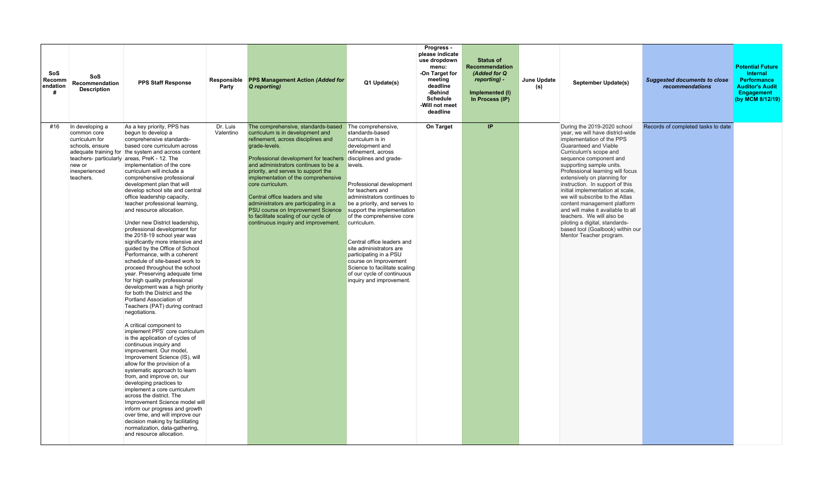| SoS<br>Recomm<br>endation<br># | SoS<br>Recommendation<br><b>Description</b>                                                                 | <b>PPS Staff Response</b>                                                                                                                                                                                                                                                                                                                                                                                                                                                                                                                                                                                                                                                                                                                                                                                                                                                                                                                                                                                                                                                                                                                                                                                                                                                                                                                                                                                                                                                                                                                                   | Responsible<br>Party  | <b>PPS Management Action (Added for</b><br>Q reporting)                                                                                                                                                                                                                                                                                                                                                                                                                                                                                                     | Q1 Update(s)                                                                                                                                                                                                                                                                                                                                                                                                                                                                            | Progress -<br>please indicate<br>use dropdown<br>menu:<br>-On Target for<br>meeting<br>deadline<br>-Behind<br><b>Schedule</b><br>-Will not meet<br>deadline | <b>Status of</b><br><b>Recommendation</b><br>(Added for Q<br>reporting) -<br>Implemented (I)<br>In Process (IP) | June Update<br>(s) | September Update(s)                                                                                                                                                                                                                                                                                                                                                                                                                                                                                                                                                                 | <b>Suggested documents to close</b><br>recommendations | <b>Potential Future</b><br>Internal<br>Performance<br><b>Auditor's Audit</b><br>Engagement<br>(by MCM 8/12/19) |
|--------------------------------|-------------------------------------------------------------------------------------------------------------|-------------------------------------------------------------------------------------------------------------------------------------------------------------------------------------------------------------------------------------------------------------------------------------------------------------------------------------------------------------------------------------------------------------------------------------------------------------------------------------------------------------------------------------------------------------------------------------------------------------------------------------------------------------------------------------------------------------------------------------------------------------------------------------------------------------------------------------------------------------------------------------------------------------------------------------------------------------------------------------------------------------------------------------------------------------------------------------------------------------------------------------------------------------------------------------------------------------------------------------------------------------------------------------------------------------------------------------------------------------------------------------------------------------------------------------------------------------------------------------------------------------------------------------------------------------|-----------------------|-------------------------------------------------------------------------------------------------------------------------------------------------------------------------------------------------------------------------------------------------------------------------------------------------------------------------------------------------------------------------------------------------------------------------------------------------------------------------------------------------------------------------------------------------------------|-----------------------------------------------------------------------------------------------------------------------------------------------------------------------------------------------------------------------------------------------------------------------------------------------------------------------------------------------------------------------------------------------------------------------------------------------------------------------------------------|-------------------------------------------------------------------------------------------------------------------------------------------------------------|-----------------------------------------------------------------------------------------------------------------|--------------------|-------------------------------------------------------------------------------------------------------------------------------------------------------------------------------------------------------------------------------------------------------------------------------------------------------------------------------------------------------------------------------------------------------------------------------------------------------------------------------------------------------------------------------------------------------------------------------------|--------------------------------------------------------|----------------------------------------------------------------------------------------------------------------|
| #16                            | In developing a<br>common core<br>curriculum for<br>schools, ensure<br>new or<br>inexperienced<br>teachers. | As a key priority, PPS has<br>begun to develop a<br>comprehensive standards-<br>based core curriculum across<br>adequate training for the system and across content<br>teachers- particularly areas, PreK - 12. The<br>implementation of the core<br>curriculum will include a<br>comprehensive professional<br>development plan that will<br>develop school site and central<br>office leadership capacity,<br>teacher professional learning,<br>and resource allocation.<br>Under new District leadership,<br>professional development for<br>the 2018-19 school year was<br>significantly more intensive and<br>quided by the Office of School<br>Performance, with a coherent<br>schedule of site-based work to<br>proceed throughout the school<br>year. Preserving adequate time<br>for high quality professional<br>development was a high priority<br>for both the District and the<br>Portland Association of<br>Teachers (PAT) during contract<br>negotiations.<br>A critical component to<br>implement PPS' core curriculum<br>is the application of cycles of<br>continuous inquiry and<br>improvement. Our model,<br>Improvement Science (IS), will<br>allow for the provision of a<br>systematic approach to learn<br>from, and improve on, our<br>developing practices to<br>implement a core curriculum<br>across the district. The<br>Improvement Science model will<br>inform our progress and growth<br>over time, and will improve our<br>decision making by facilitating<br>normalization, data-gathering,<br>and resource allocation. | Dr. Luis<br>Valentino | The comprehensive, standards-based The comprehensive,<br>curriculum is in development and<br>refinement, across disciplines and<br>grade-levels.<br>Professional development for teachers disciplines and grade-<br>and administrators continues to be a<br>priority, and serves to support the<br>implementation of the comprehensive<br>core curriculum.<br>Central office leaders and site<br>administrators are participating in a<br>PSU course on Improvement Science<br>to facilitate scaling of our cycle of<br>continuous inquiry and improvement. | standards-based<br>curriculum is in<br>development and<br>refinement. across<br>levels.<br>Professional development<br>for teachers and<br>administrators continues to<br>be a priority, and serves to<br>support the implementation<br>of the comprehensive core<br>curriculum.<br>Central office leaders and<br>site administrators are<br>participating in a PSU<br>course on Improvement<br>Science to facilitate scaling<br>of our cycle of continuous<br>inquiry and improvement. | On Target                                                                                                                                                   | IP                                                                                                              |                    | During the 2019-2020 school<br>year, we will have district-wide<br>implementation of the PPS<br>Guaranteed and Viable<br>Curriculum's scope and<br>sequence component and<br>supporting sample units.<br>Professional learning will focus<br>extensively on planning for<br>instruction. In support of this<br>initial implementation at scale,<br>we will subscribe to the Atlas<br>content management platform<br>and will make it available to all<br>teachers. We will also be<br>piloting a digital, standards-<br>based tool (Goalbook) within our<br>Mentor Teacher program. | Records of completed tasks to date                     |                                                                                                                |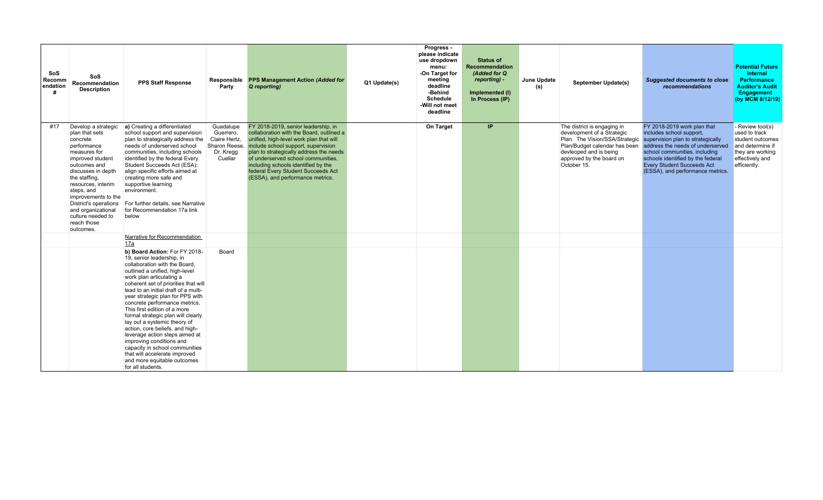| SoS<br>Recomm<br>endation | SoS<br>Recommendation<br><b>Description</b>                                                                                                                                                                                                                                                                            | <b>PPS Staff Response</b>                                                                                                                                                                                                                                                                                                                                                                                                                                                                                                                                                                                                                    | Responsible<br>Party                                                             | <b>PPS Management Action (Added for</b><br>Q reporting)                                                                                                                                                                                                                                                                                                             | Q1 Update(s) | Progress -<br>please indicate<br>use dropdown<br>menu:<br>-On Target for<br>meeting<br>deadline<br>-Behind<br><b>Schedule</b><br>-Will not meet<br>deadline | <b>Status of</b><br><b>Recommendation</b><br>(Added for Q<br>reporting) -<br>Implemented (I)<br>In Process (IP) | June Update<br>(s) | September Update(s)                                                                                                                                                                               | <b>Suggested documents to close</b><br>recommendations                                                                                                                                                                                                                          | <b>Potential Future</b><br>Internal<br><b>Performance</b><br><b>Auditor's Audit</b><br><b>Engagement</b><br>(by MCM 8/12/19)   |
|---------------------------|------------------------------------------------------------------------------------------------------------------------------------------------------------------------------------------------------------------------------------------------------------------------------------------------------------------------|----------------------------------------------------------------------------------------------------------------------------------------------------------------------------------------------------------------------------------------------------------------------------------------------------------------------------------------------------------------------------------------------------------------------------------------------------------------------------------------------------------------------------------------------------------------------------------------------------------------------------------------------|----------------------------------------------------------------------------------|---------------------------------------------------------------------------------------------------------------------------------------------------------------------------------------------------------------------------------------------------------------------------------------------------------------------------------------------------------------------|--------------|-------------------------------------------------------------------------------------------------------------------------------------------------------------|-----------------------------------------------------------------------------------------------------------------|--------------------|---------------------------------------------------------------------------------------------------------------------------------------------------------------------------------------------------|---------------------------------------------------------------------------------------------------------------------------------------------------------------------------------------------------------------------------------------------------------------------------------|--------------------------------------------------------------------------------------------------------------------------------|
| #17                       | Develop a strategic<br>plan that sets<br>concrete<br>performance<br>measures for<br>improved student<br>outcomes and<br>discusses in depth<br>the staffing.<br>resources, interim<br>steps, and<br>improvements to the<br>District's operations<br>and organizational<br>culture needed to<br>reach those<br>outcomes. | a) Creating a differentiated<br>school support and supervision<br>plan to strategically address the<br>needs of underserved school<br>communities, including schools<br>identified by the federal Every<br>Student Succeeds Act (ESA);<br>align specific efforts aimed at<br>creating more safe and<br>supportive learning<br>environment.<br>For further details, see Narrative<br>for Recommendation 17a link<br>below                                                                                                                                                                                                                     | Guadalupe<br>Guerrero,<br>Claire Hertz,<br>Sharon Reese,<br>Dr. Kregg<br>Cuellar | FY 2018-2019, senior leadership, in<br>collaboration with the Board, outlined a<br>unified, high-level work plan that will<br>include school support, supervision<br>plan to strategically address the needs<br>of underserved school communities.<br>including schools identified by the<br>federal Every Student Succeeds Act<br>(ESSA), and performance metrics. |              | On Target                                                                                                                                                   | IP.                                                                                                             |                    | The district is engaging in<br>development of a Strategic<br>Plan. The Vision/SSA/Strategic<br>Plan/Budget calendar has been<br>devleoped and is being<br>approved by the board on<br>October 15. | FY 2018-2019 work plan that<br>includes school support,<br>supervision plan to strategically<br>address the needs of underserved<br>school communities, including<br>schools identified by the federal<br><b>Every Student Succeeds Act</b><br>(ESSA), and performance metrics. | Review tool(s)<br>used to track<br>student outcomes<br>and determine if<br>they are working<br>effectively and<br>efficiently. |
|                           |                                                                                                                                                                                                                                                                                                                        | Narrative for Recommendation<br>17a                                                                                                                                                                                                                                                                                                                                                                                                                                                                                                                                                                                                          |                                                                                  |                                                                                                                                                                                                                                                                                                                                                                     |              |                                                                                                                                                             |                                                                                                                 |                    |                                                                                                                                                                                                   |                                                                                                                                                                                                                                                                                 |                                                                                                                                |
|                           |                                                                                                                                                                                                                                                                                                                        | b) Board Action: For FY 2018-<br>19, senior leadership, in<br>collaboration with the Board.<br>outlined a unified, high-level<br>work plan articulating a<br>coherent set of priorities that will<br>lead to an initial draft of a multi-<br>year strategic plan for PPS with<br>concrete performance metrics.<br>This first edition of a more<br>formal strategic plan will clearly<br>lay out a systemic theory of<br>action, core beliefs, and high-<br>leverage action steps aimed at<br>improving conditions and<br>capacity in school communities<br>that will accelerate improved<br>and more equitable outcomes<br>for all students. | Board                                                                            |                                                                                                                                                                                                                                                                                                                                                                     |              |                                                                                                                                                             |                                                                                                                 |                    |                                                                                                                                                                                                   |                                                                                                                                                                                                                                                                                 |                                                                                                                                |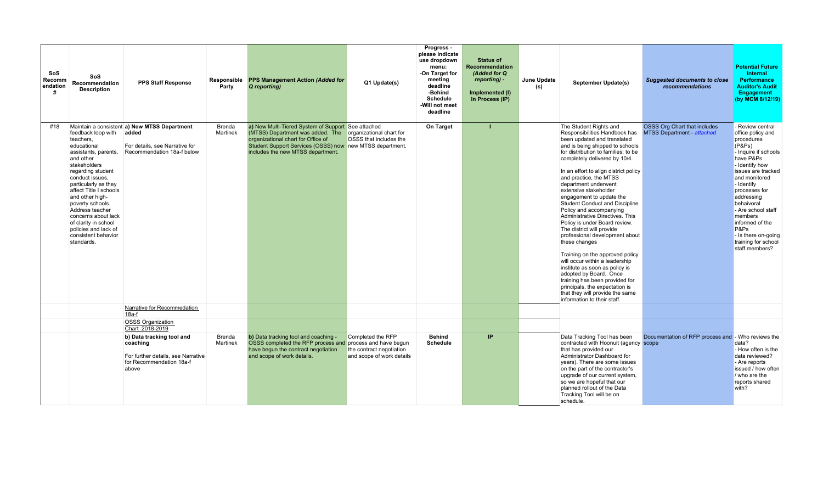| SoS<br>Recomm<br>endation | SoS<br>Recommendation<br><b>Description</b>                                                                                                                                                                                                                                                                                                                         | <b>PPS Staff Response</b>                                                                                             | Responsible<br>Party | <b>PPS Management Action (Added for</b><br>Q reporting)                                                                                                                                                                       | Q1 Update(s)                                                               | Progress -<br>please indicate<br>use dropdown<br>menu:<br>-On Target for<br>meeting<br>deadline<br>-Behind<br><b>Schedule</b><br>-Will not meet<br>deadline | <b>Status of</b><br><b>Recommendation</b><br>(Added for Q<br>reporting) -<br>Implemented (I)<br>In Process (IP) | June Update<br>(s) | September Update(s)                                                                                                                                                                                                                                                                                                                                                                                                                                                                                                                                                                                                                                                                                                                                                                                                                       | <b>Suggested documents to close</b><br>recommendations                   | <b>Potential Future</b><br>Internal<br><b>Performance</b><br><b>Auditor's Audit</b><br>Engagement<br>(by MCM 8/12/19)                                                                                                                                                                                                                              |
|---------------------------|---------------------------------------------------------------------------------------------------------------------------------------------------------------------------------------------------------------------------------------------------------------------------------------------------------------------------------------------------------------------|-----------------------------------------------------------------------------------------------------------------------|----------------------|-------------------------------------------------------------------------------------------------------------------------------------------------------------------------------------------------------------------------------|----------------------------------------------------------------------------|-------------------------------------------------------------------------------------------------------------------------------------------------------------|-----------------------------------------------------------------------------------------------------------------|--------------------|-------------------------------------------------------------------------------------------------------------------------------------------------------------------------------------------------------------------------------------------------------------------------------------------------------------------------------------------------------------------------------------------------------------------------------------------------------------------------------------------------------------------------------------------------------------------------------------------------------------------------------------------------------------------------------------------------------------------------------------------------------------------------------------------------------------------------------------------|--------------------------------------------------------------------------|----------------------------------------------------------------------------------------------------------------------------------------------------------------------------------------------------------------------------------------------------------------------------------------------------------------------------------------------------|
| #18                       | feedback loop with<br>teachers.<br>educational<br>assistants, parents,<br>and other<br>stakeholders<br>regarding student<br>conduct issues.<br>particularly as they<br>affect Title I schools<br>and other high-<br>poverty schools.<br>Address teacher<br>concerns about lack<br>of clarity in school<br>policies and lack of<br>consistent behavior<br>standards. | Maintain a consistent a) New MTSS Department<br>added<br>For details, see Narrative for<br>Recommendation 18a-f below | Brenda<br>Martinek   | a) New Multi-Tiered System of Support See attached<br>(MTSS) Department was added. The<br>organizational chart for Office of<br>Student Support Services (OSSS) now new MTSS department.<br>includes the new MTSS department. | organizational chart for<br>OSSS that includes the                         | On Target                                                                                                                                                   |                                                                                                                 |                    | The Student Rights and<br>Responsibilities Handbook has<br>been updated and translated<br>and is being shipped to schools<br>for distribution to families; to be<br>completely delivered by 10/4.<br>In an effort to align district policy<br>and practice, the MTSS<br>department underwent<br>extensive stakeholder<br>engagement to update the<br>Student Conduct and Discipline<br>Policy and accompanying<br>Administrative Directives. This<br>Policy is under Board review.<br>The district will provide<br>professional development about<br>these changes<br>Training on the approved policy<br>will occur within a leadership<br>institute as soon as policy is<br>adopted by Board. Once<br>training has been provided for<br>principals, the expectation is<br>that they will provide the same<br>information to their staff. | <b>OSSS Org Chart that includes</b><br><b>MTSS Department - attached</b> | - Review central<br>office policy and<br>procedures<br>(P&Ps)<br>- Inquire if schools<br>have P&Ps<br>- Identify how<br>issues are tracked<br>and monitored<br>- Identify<br>processes for<br>addressing<br>behaivoral<br>- Are school staff<br>members<br>informed of the<br>P&Ps<br>- Is there on-going<br>training for school<br>staff members? |
|                           |                                                                                                                                                                                                                                                                                                                                                                     | Narrative for Recommedation<br>$18a-f$                                                                                |                      |                                                                                                                                                                                                                               |                                                                            |                                                                                                                                                             |                                                                                                                 |                    |                                                                                                                                                                                                                                                                                                                                                                                                                                                                                                                                                                                                                                                                                                                                                                                                                                           |                                                                          |                                                                                                                                                                                                                                                                                                                                                    |
|                           |                                                                                                                                                                                                                                                                                                                                                                     | <b>OSSS Organization</b><br>Chart 2018-2019                                                                           |                      |                                                                                                                                                                                                                               |                                                                            |                                                                                                                                                             |                                                                                                                 |                    |                                                                                                                                                                                                                                                                                                                                                                                                                                                                                                                                                                                                                                                                                                                                                                                                                                           |                                                                          |                                                                                                                                                                                                                                                                                                                                                    |
|                           |                                                                                                                                                                                                                                                                                                                                                                     | b) Data tracking tool and<br>coaching<br>For further details, see Narrative<br>for Recommendation 18a-f<br>above      | Brenda<br>Martinek   | b) Data tracking tool and coaching -<br>OSSS completed the RFP process and process and have begun<br>have begun the contract negotiation<br>and scope of work details.                                                        | Completed the RFP<br>the contract negotiation<br>and scope of work details | <b>Behind</b><br><b>Schedule</b>                                                                                                                            | IP                                                                                                              |                    | Data Tracking Tool has been<br>contracted with Hoonuit (agency scope<br>that has provided our<br>Administrator Dashboard for<br>years). There are some issues<br>on the part of the contractor's<br>upgrade of our current system,<br>so we are hopeful that our<br>planned rollout of the Data<br>Tracking Tool will be on<br>schedule.                                                                                                                                                                                                                                                                                                                                                                                                                                                                                                  | Documentation of RFP process and - Who reviews the                       | data?<br>- How often is the<br>data reviewed?<br>- Are reports<br>issued / how often<br>/ who are the<br>reports shared<br>with?                                                                                                                                                                                                                   |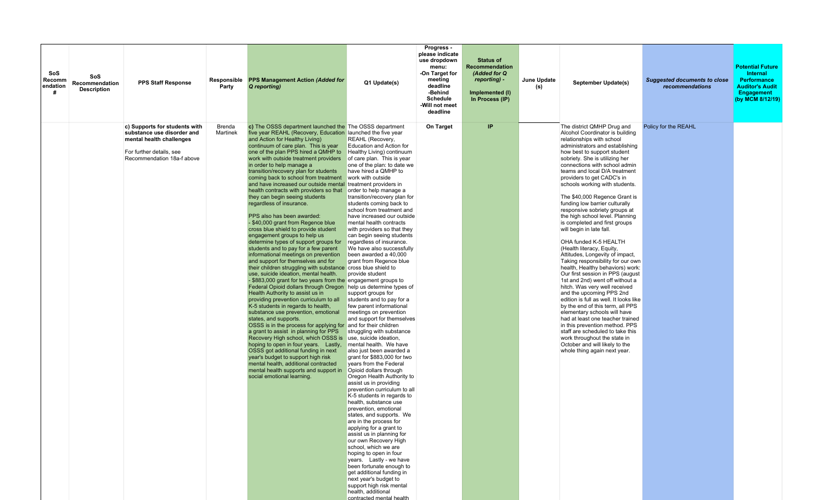| SoS<br>SoS<br>Recomm<br>Recommendation<br>endation<br><b>Description</b> | <b>PPS Staff Response</b>                                                                                                                         | Responsible<br>Party | <b>PPS Management Action (Added for</b><br>Q reporting)                                                                                                                                                                                                                                                                                                                                                                                                                                                                                                                                                                                                                                                                                                                                                                                                                                                                                                                                                                                                                                                                                                                                                                                                                                                                                                                                                                                                                                                                                                                                                                                                                                                  | Q1 Update(s)                                                                                                                                                                                                                                                                                                                                                                                                                                                                                                                                                                                                                                                                                                                                                                                                                                                                                                                                                                                                                                                                                                                                                                                                                                                                                                                                                                                                                                                  | Progress -<br>please indicate<br>use dropdown<br>menu:<br>-On Target for<br>meeting<br>deadline<br>-Behind<br><b>Schedule</b><br>-Will not meet<br>deadline | <b>Status of</b><br>Recommendation<br>(Added for Q<br>reporting) -<br>Implemented (I)<br>In Process (IP) | June Update<br>(S) | September Update(s)                                                                                                                                                                                                                                                                                                                                                                                                                                                                                                                                                                                                                                                                                                                                                                                                                                                                                                                                                                                                                                                                                                                                                  | <b>Suggested documents to close</b><br>recommendations | <b>Potential Future</b><br>Internal<br><b>Performance</b><br><b>Auditor's Audit</b><br>Engagement<br>(by MCM 8/12/19) |
|--------------------------------------------------------------------------|---------------------------------------------------------------------------------------------------------------------------------------------------|----------------------|----------------------------------------------------------------------------------------------------------------------------------------------------------------------------------------------------------------------------------------------------------------------------------------------------------------------------------------------------------------------------------------------------------------------------------------------------------------------------------------------------------------------------------------------------------------------------------------------------------------------------------------------------------------------------------------------------------------------------------------------------------------------------------------------------------------------------------------------------------------------------------------------------------------------------------------------------------------------------------------------------------------------------------------------------------------------------------------------------------------------------------------------------------------------------------------------------------------------------------------------------------------------------------------------------------------------------------------------------------------------------------------------------------------------------------------------------------------------------------------------------------------------------------------------------------------------------------------------------------------------------------------------------------------------------------------------------------|---------------------------------------------------------------------------------------------------------------------------------------------------------------------------------------------------------------------------------------------------------------------------------------------------------------------------------------------------------------------------------------------------------------------------------------------------------------------------------------------------------------------------------------------------------------------------------------------------------------------------------------------------------------------------------------------------------------------------------------------------------------------------------------------------------------------------------------------------------------------------------------------------------------------------------------------------------------------------------------------------------------------------------------------------------------------------------------------------------------------------------------------------------------------------------------------------------------------------------------------------------------------------------------------------------------------------------------------------------------------------------------------------------------------------------------------------------------|-------------------------------------------------------------------------------------------------------------------------------------------------------------|----------------------------------------------------------------------------------------------------------|--------------------|----------------------------------------------------------------------------------------------------------------------------------------------------------------------------------------------------------------------------------------------------------------------------------------------------------------------------------------------------------------------------------------------------------------------------------------------------------------------------------------------------------------------------------------------------------------------------------------------------------------------------------------------------------------------------------------------------------------------------------------------------------------------------------------------------------------------------------------------------------------------------------------------------------------------------------------------------------------------------------------------------------------------------------------------------------------------------------------------------------------------------------------------------------------------|--------------------------------------------------------|-----------------------------------------------------------------------------------------------------------------------|
|                                                                          | c) Supports for students with<br>substance use disorder and<br>mental health challenges<br>For further details, see<br>Recommendation 18a-f above | Brenda<br>Martinek   | c) The OSSS department launched the The OSSS department<br>five year REAHL (Recovery, Education launched the five year<br>and Action for Healthy Living)<br>continuum of care plan. This is year<br>one of the plan PPS hired a QMHP to<br>work with outside treatment providers<br>in order to help manage a<br>transition/recovery plan for students<br>coming back to school from treatment<br>and have increased our outside mental treatment providers in<br>health contracts with providers so that<br>they can begin seeing students<br>regardless of insurance.<br>PPS also has been awarded:<br>\$40,000 grant from Regence blue<br>cross blue shield to provide student<br>engagement groups to help us<br>determine types of support groups for<br>students and to pay for a few parent<br>informational meetings on prevention<br>and support for themselves and for<br>their children struggling with substance cross blue shield to<br>use, suicide ideation, mental health.<br>\$883,000 grant for two years from the engagement groups to<br>Federal Opioid dollars through Oregon help us determine types of<br>Health Authority to assist us in<br>providing prevention curriculum to all<br>K-5 students in regards to health,<br>substance use prevention, emotional<br>states, and supports.<br>OSSS is in the process for applying for and for their children<br>a grant to assist in planning for PPS<br>Recovery High school, which OSSS is<br>hoping to open in four years. Lastly,<br>OSSS got additional funding in next<br>year's budget to support high risk<br>mental health, additional contracted<br>mental health supports and support in<br>social emotional learning. | REAHL (Recovery,<br>Education and Action for<br>Healthy Living) continuum<br>of care plan. This is year<br>one of the plan: to date we<br>have hired a QMHP to<br>work with outside<br>order to help manage a<br>transition/recovery plan for<br>students coming back to<br>school from treatment and<br>have increased our outside<br>mental health contracts<br>with providers so that they<br>can begin seeing students<br>regardless of insurance.<br>We have also successfully<br>been awarded a 40,000<br>grant from Regence blue<br>provide student<br>support groups for<br>students and to pay for a<br>few parent informational<br>meetings on prevention<br>and support for themselves<br>struggling with substance<br>use, suicide ideation,<br>mental health. We have<br>also just been awarded a<br>grant for \$883,000 for two<br>vears from the Federal<br>Opioid dollars through<br>Oregon Health Authority to<br>assist us in providing<br>prevention curriculum to all<br>K-5 students in regards to<br>health, substance use<br>prevention, emotional<br>states, and supports. We<br>are in the process for<br>applying for a grant to<br>assist us in planning for<br>our own Recovery High<br>school, which we are<br>hoping to open in four<br>years. Lastly - we have<br>been fortunate enough to<br>get additional funding in<br>next year's budget to<br>support high risk mental<br>health, additional<br>contracted mental health | On Target                                                                                                                                                   | IP                                                                                                       |                    | The district QMHP Drug and<br>Alcohol Coordinator is building<br>relationships with school<br>administrators and establishing<br>how best to support student<br>sobriety. She is utilizing her<br>connections with school admin<br>teams and local D/A treatment<br>providers to get CADC's in<br>schools working with students.<br>The \$40,000 Regence Grant is<br>funding low barrier culturally<br>responsive sobriety groups at<br>the high school level. Planning<br>is completed and first groups<br>will begin in late fall.<br>OHA funded K-5 HEALTH<br>(Health literacy, Equity,<br>Attitudes, Longevity of impact,<br>Taking responsibility for our own<br>health, Healthy behaviors) work:<br>Our first session in PPS (august<br>1st and 2nd) went off without a<br>hitch. Was very well received<br>and the upcoming PPS 2nd<br>edition is full as well. It looks like<br>by the end of this term, all PPS<br>elementary schools will have<br>had at least one teacher trained<br>in this prevention method. PPS<br>staff are scheduled to take this<br>work throughout the state in<br>October and will likely to the<br>whole thing again next year. | Policy for the REAHL                                   |                                                                                                                       |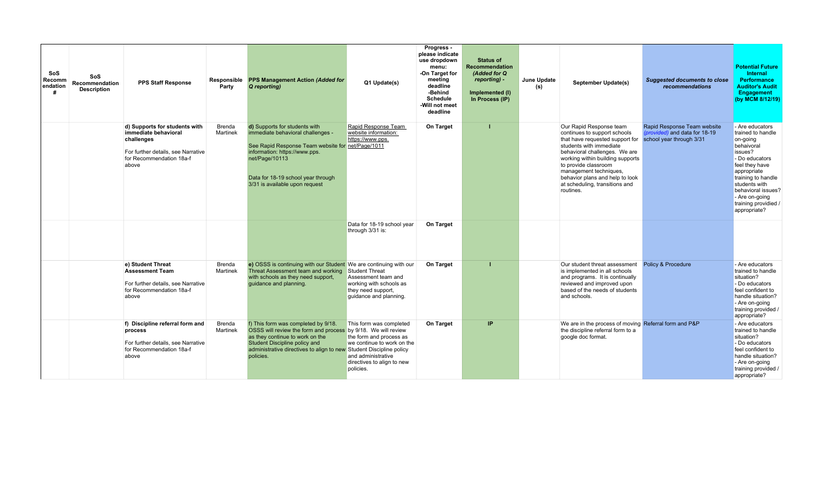| SoS<br>SoS<br>Recomm<br>Recommendation<br>endation<br><b>Description</b><br># | <b>PPS Staff Response</b>                                                                                                                      | Responsible<br>Party      | <b>PPS Management Action (Added for</b><br>Q reporting)                                                                                                                                                                                                      | Q1 Update(s)                                                                                                                                      | Progress -<br>please indicate<br>use dropdown<br>menu:<br>-On Target for<br>meeting<br>deadline<br>-Behind<br><b>Schedule</b><br>-Will not meet<br>deadline | <b>Status of</b><br><b>Recommendation</b><br>(Added for Q<br>reporting) -<br>Implemented (I)<br>In Process (IP) | June Update<br>(s) | <b>September Update(s)</b>                                                                                                                                                                                                                                                                                                                              | <b>Suggested documents to close</b><br>recommendations       | <b>Potential Future</b><br>Internal<br><b>Performance</b><br><b>Auditor's Audit</b><br><b>Engagement</b><br>(by MCM 8/12/19)                                                                                                                        |
|-------------------------------------------------------------------------------|------------------------------------------------------------------------------------------------------------------------------------------------|---------------------------|--------------------------------------------------------------------------------------------------------------------------------------------------------------------------------------------------------------------------------------------------------------|---------------------------------------------------------------------------------------------------------------------------------------------------|-------------------------------------------------------------------------------------------------------------------------------------------------------------|-----------------------------------------------------------------------------------------------------------------|--------------------|---------------------------------------------------------------------------------------------------------------------------------------------------------------------------------------------------------------------------------------------------------------------------------------------------------------------------------------------------------|--------------------------------------------------------------|-----------------------------------------------------------------------------------------------------------------------------------------------------------------------------------------------------------------------------------------------------|
|                                                                               | d) Supports for students with<br>immediate behavioral<br>challenges<br>For further details, see Narrative<br>for Recommendation 18a-f<br>above | Brenda<br>Martinek        | d) Supports for students with<br>immediate behavioral challenges -<br>See Rapid Response Team website for net/Page/1011<br>information: https://www.pps.<br>net/Page/10113<br>Data for 18-19 school year through<br>3/31 is available upon request           | Rapid Response Team<br>website information:<br>https://www.pps.                                                                                   | <b>On Target</b>                                                                                                                                            |                                                                                                                 |                    | Our Rapid Response team<br>continues to support schools<br>that have requested support for school year through 3/31<br>students with immediate<br>behavioral challenges. We are<br>working within building supports<br>to provide classroom<br>management techniques,<br>behavior plans and help to look<br>at scheduling, transitions and<br>routines. | Rapid Response Team website<br>(provided) and data for 18-19 | - Are educators<br>trained to handle<br>on-going<br>behaivoral<br>issues?<br>- Do educators<br>feel they have<br>appropriate<br>training to handle<br>students with<br>behavioral issues?<br>- Are on-going<br>training providied /<br>appropriate? |
|                                                                               |                                                                                                                                                |                           |                                                                                                                                                                                                                                                              | Data for 18-19 school year<br>through 3/31 is:                                                                                                    | On Target                                                                                                                                                   |                                                                                                                 |                    |                                                                                                                                                                                                                                                                                                                                                         |                                                              |                                                                                                                                                                                                                                                     |
|                                                                               | e) Student Threat<br><b>Assessment Team</b><br>For further details, see Narrative<br>for Recommendation 18a-f<br>above                         | Brenda<br>Martinek        | e) OSSS is continuing with our Student We are continuing with our<br>Threat Assessment team and working<br>with schools as they need support,<br>guidance and planning.                                                                                      | <b>Student Threat</b><br>Assessment team and<br>working with schools as<br>they need support,<br>quidance and planning.                           | On Target                                                                                                                                                   |                                                                                                                 |                    | Our student threat assessment<br>is implemented in all schools<br>and programs. It is continually<br>reviewed and improved upon<br>based of the needs of students<br>and schools.                                                                                                                                                                       | <b>Policy &amp; Procedure</b>                                | - Are educators<br>trained to handle<br>situation?<br>- Do educators<br>feel confident to<br>handle situation?<br>- Are on-going<br>training provided /<br>appropriate?                                                                             |
|                                                                               | f) Discipline referral form and<br>process<br>For further details, see Narrative<br>for Recommendation 18a-f<br>above                          | <b>Brenda</b><br>Martinek | f) This form was completed by 9/18.<br>OSSS will review the form and process by 9/18. We will review<br>as they continue to work on the<br>Student Discipline policy and<br>administrative directives to align to new Student Discipline policy<br>policies. | This form was completed<br>the form and process as<br>we continue to work on the<br>and administrative<br>directives to align to new<br>policies. | On Target                                                                                                                                                   | IP                                                                                                              |                    | We are in the process of moving Referral form and P&P<br>the discipline referral form to a<br>google doc format.                                                                                                                                                                                                                                        |                                                              | - Are educators<br>trained to handle<br>situation?<br>- Do educators<br>feel confident to<br>handle situation?<br>- Are on-going<br>training provided /<br>appropriate?                                                                             |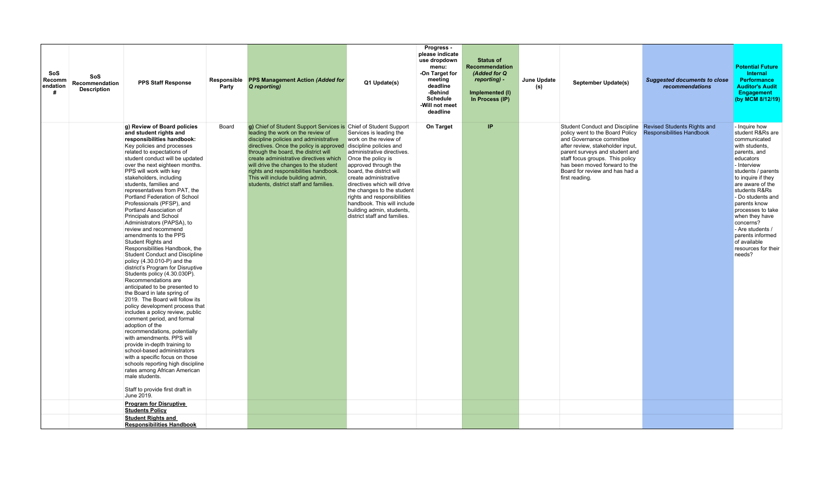| SoS<br><b>Recomm</b><br>endation | SoS<br>Recommendation<br><b>Description</b> | <b>PPS Staff Response</b>                                                                                                                                                                                                                                                                                                                                                                                                                                                                                                                                                                                                                                                                                                                                                                                                                                                                                                                                                                                                                                                                                                                                                                                                                                                                                                              | Responsible<br>Party | <b>PPS Management Action (Added for</b><br>Q reporting)                                                                                                                                                                                                                                                                                                                                                                                                               | Q1 Update(s)                                                                                                                                                                                                                                                                                                                                                              | Progress -<br>please indicate<br>use dropdown<br>menu:<br>-On Target for<br>meeting<br>deadline<br>-Behind<br><b>Schedule</b><br>-Will not meet<br>deadline | <b>Status of</b><br>Recommendation<br>(Added for Q<br>reporting) -<br>Implemented (I)<br>In Process (IP) | June Update<br>(s) | September Update(s)                                                                                                                                                                                                                                                                                | <b>Suggested documents to close</b><br>recommendations                 | <b>Potential Future</b><br>Internal<br><b>Performance</b><br><b>Auditor's Audit</b><br><b>Engagement</b><br>(by MCM 8/12/19)                                                                                                                                                                                                                                                       |
|----------------------------------|---------------------------------------------|----------------------------------------------------------------------------------------------------------------------------------------------------------------------------------------------------------------------------------------------------------------------------------------------------------------------------------------------------------------------------------------------------------------------------------------------------------------------------------------------------------------------------------------------------------------------------------------------------------------------------------------------------------------------------------------------------------------------------------------------------------------------------------------------------------------------------------------------------------------------------------------------------------------------------------------------------------------------------------------------------------------------------------------------------------------------------------------------------------------------------------------------------------------------------------------------------------------------------------------------------------------------------------------------------------------------------------------|----------------------|-----------------------------------------------------------------------------------------------------------------------------------------------------------------------------------------------------------------------------------------------------------------------------------------------------------------------------------------------------------------------------------------------------------------------------------------------------------------------|---------------------------------------------------------------------------------------------------------------------------------------------------------------------------------------------------------------------------------------------------------------------------------------------------------------------------------------------------------------------------|-------------------------------------------------------------------------------------------------------------------------------------------------------------|----------------------------------------------------------------------------------------------------------|--------------------|----------------------------------------------------------------------------------------------------------------------------------------------------------------------------------------------------------------------------------------------------------------------------------------------------|------------------------------------------------------------------------|------------------------------------------------------------------------------------------------------------------------------------------------------------------------------------------------------------------------------------------------------------------------------------------------------------------------------------------------------------------------------------|
|                                  |                                             | g) Review of Board policies<br>and student rights and<br>responsibilities handbook:<br>Key policies and processes<br>related to expectations of<br>student conduct will be updated<br>over the next eighteen months.<br>PPS will work with key<br>stakeholders, including<br>students, families and<br>representatives from PAT, the<br>Portland Federation of School<br>Professionals (PFSP), and<br>Portland Association of<br>Principals and School<br>Administrators (PAPSA), to<br>review and recommend<br>amendments to the PPS<br>Student Rights and<br>Responsibilities Handbook, the<br><b>Student Conduct and Discipline</b><br>policy $(4.30.010-P)$ and the<br>district's Program for Disruptive<br>Students policy (4.30.030P).<br>Recommendations are<br>anticipated to be presented to<br>the Board in late spring of<br>2019. The Board will follow its<br>policy development process that<br>includes a policy review, public<br>comment period, and formal<br>adoption of the<br>recommendations, potentially<br>with amendments. PPS will<br>provide in-depth training to<br>school-based administrators<br>with a specific focus on those<br>schools reporting high discipline<br>rates among African American<br>male students.<br>Staff to provide first draft in<br>June 2019.<br><b>Program for Disruptive</b> | Board                | g) Chief of Student Support Services is Chief of Student Support<br>leading the work on the review of<br>discipline policies and administrative<br>directives. Once the policy is approved discipline policies and<br>through the board, the district will<br>create administrative directives which<br>will drive the changes to the student<br>rights and responsibilities handbook.<br>This will include building admin,<br>students, district staff and families. | Services is leading the<br>work on the review of<br>administrative directives.<br>Once the policy is<br>approved through the<br>board, the district will<br>create administrative<br>directives which will drive<br>the changes to the student<br>rights and responsibilities<br>handbook. This will include<br>building admin, students,<br>district staff and families. | On Target                                                                                                                                                   | IP                                                                                                       |                    | <b>Student Conduct and Discipline</b><br>policy went to the Board Policy<br>and Governance committee<br>after review, stakeholder input,<br>parent surveys and student and<br>staff focus groups. This policy<br>has been moved forward to the<br>Board for review and has had a<br>first reading. | <b>Revised Students Rights and</b><br><b>Responsibilities Handbook</b> | - Inquire how<br>student R&Rs are<br>communicated<br>with students,<br>parents, and<br>educators<br>- Interview<br>students / parents<br>to inquire if they<br>are aware of the<br>students R&Rs<br>- Do students and<br>parents know<br>processes to take<br>when they have<br>concerns?<br>- Are students /<br>parents informed<br>of available<br>resources for their<br>needs? |
|                                  |                                             | <b>Students Policy</b><br><b>Student Rights and</b>                                                                                                                                                                                                                                                                                                                                                                                                                                                                                                                                                                                                                                                                                                                                                                                                                                                                                                                                                                                                                                                                                                                                                                                                                                                                                    |                      |                                                                                                                                                                                                                                                                                                                                                                                                                                                                       |                                                                                                                                                                                                                                                                                                                                                                           |                                                                                                                                                             |                                                                                                          |                    |                                                                                                                                                                                                                                                                                                    |                                                                        |                                                                                                                                                                                                                                                                                                                                                                                    |
|                                  |                                             | <b>Responsibilities Handbook</b>                                                                                                                                                                                                                                                                                                                                                                                                                                                                                                                                                                                                                                                                                                                                                                                                                                                                                                                                                                                                                                                                                                                                                                                                                                                                                                       |                      |                                                                                                                                                                                                                                                                                                                                                                                                                                                                       |                                                                                                                                                                                                                                                                                                                                                                           |                                                                                                                                                             |                                                                                                          |                    |                                                                                                                                                                                                                                                                                                    |                                                                        |                                                                                                                                                                                                                                                                                                                                                                                    |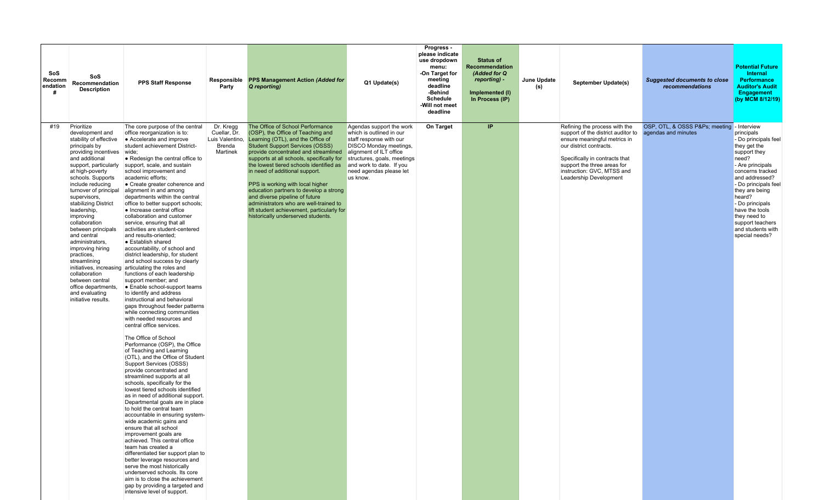| SoS<br>Recomm<br>endation<br># | SoS<br>Recommendation<br><b>Description</b>                                                                                                                                                                                                                                                                                                                                                                                                                                                                                         | <b>PPS Staff Response</b>                                                                                                                                                                                                                                                                                                                                                                                                                                                                                                                                                                                                                                                                                                                                                                                                                                                                                                                                                                                                                                                                                                                                                                                                                                                                                                                                                                                                                                                                                                                                                                                                                                                                                                                                                                                                     | Party                                                              | Responsible PPS Management Action (Added for<br>Q reporting)                                                                                                                                                                                                                                                                                                                                                                                                                                                                                                        | Q1 Update(s)                                                                                                                                                                                                                                  | Progress -<br>please indicate<br>use dropdown<br>menu:<br>-On Target for<br>meeting<br>deadline<br>-Behind<br><b>Schedule</b><br>-Will not meet<br>deadline | <b>Status of</b><br><b>Recommendation</b><br>(Added for Q<br>reporting) -<br>Implemented (I)<br>In Process (IP) | June Update<br>(s) | <b>September Update(s)</b>                                                                                                                                                                                                                              | <b>Suggested documents to close</b><br>recommendations           | <b>Potential Future</b><br>Internal<br><b>Performance</b><br><b>Auditor's Audit</b><br><b>Engagement</b><br>(by MCM 8/12/19)                                                                                                                                                                              |
|--------------------------------|-------------------------------------------------------------------------------------------------------------------------------------------------------------------------------------------------------------------------------------------------------------------------------------------------------------------------------------------------------------------------------------------------------------------------------------------------------------------------------------------------------------------------------------|-------------------------------------------------------------------------------------------------------------------------------------------------------------------------------------------------------------------------------------------------------------------------------------------------------------------------------------------------------------------------------------------------------------------------------------------------------------------------------------------------------------------------------------------------------------------------------------------------------------------------------------------------------------------------------------------------------------------------------------------------------------------------------------------------------------------------------------------------------------------------------------------------------------------------------------------------------------------------------------------------------------------------------------------------------------------------------------------------------------------------------------------------------------------------------------------------------------------------------------------------------------------------------------------------------------------------------------------------------------------------------------------------------------------------------------------------------------------------------------------------------------------------------------------------------------------------------------------------------------------------------------------------------------------------------------------------------------------------------------------------------------------------------------------------------------------------------|--------------------------------------------------------------------|---------------------------------------------------------------------------------------------------------------------------------------------------------------------------------------------------------------------------------------------------------------------------------------------------------------------------------------------------------------------------------------------------------------------------------------------------------------------------------------------------------------------------------------------------------------------|-----------------------------------------------------------------------------------------------------------------------------------------------------------------------------------------------------------------------------------------------|-------------------------------------------------------------------------------------------------------------------------------------------------------------|-----------------------------------------------------------------------------------------------------------------|--------------------|---------------------------------------------------------------------------------------------------------------------------------------------------------------------------------------------------------------------------------------------------------|------------------------------------------------------------------|-----------------------------------------------------------------------------------------------------------------------------------------------------------------------------------------------------------------------------------------------------------------------------------------------------------|
| #19                            | Prioritize<br>development and<br>stability of effective<br>principals by<br>providing incentives<br>and additional<br>support, particularly<br>at high-poverty<br>schools. Supports<br>include reducing<br>turnover of principal<br>supervisors,<br>stabilizing District<br>leadership,<br>improving<br>collaboration<br>between principals<br>and central<br>administrators,<br>improving hiring<br>practices,<br>streamlining<br>collaboration<br>between central<br>office departments,<br>and evaluating<br>initiative results. | The core purpose of the central<br>office reorganization is to:<br>• Accelerate and improve<br>student achievement District-<br>wide;<br>• Redesign the central office to<br>support, scale, and sustain<br>school improvement and<br>academic efforts;<br>• Create greater coherence and<br>alignment in and among<br>departments within the central<br>office to better support schools;<br>• Increase central office<br>collaboration and customer<br>service, ensuring that all<br>activities are student-centered<br>and results-oriented;<br>• Establish shared<br>accountability, of school and<br>district leadership, for student<br>and school success by clearly<br>initiatives, increasing articulating the roles and<br>functions of each leadership<br>support member; and<br>• Enable school-support teams<br>to identify and address<br>instructional and behavioral<br>gaps throughout feeder patterns<br>while connecting communities<br>with needed resources and<br>central office services.<br>The Office of School<br>Performance (OSP), the Office<br>of Teaching and Learning<br>(OTL), and the Office of Student<br>Support Services (OSSS)<br>provide concentrated and<br>streamlined supports at all<br>schools, specifically for the<br>lowest tiered schools identified<br>as in need of additional support.<br>Departmental goals are in place<br>to hold the central team<br>accountable in ensuring system-<br>wide academic gains and<br>ensure that all school<br>improvement goals are<br>achieved. This central office<br>team has created a<br>differentiated tier support plan to<br>better leverage resources and<br>serve the most historically<br>underserved schools. Its core<br>aim is to close the achievement<br>gap by providing a targeted and<br>intensive level of support. | Dr. Kregg<br>Cuellar, Dr.<br>Luis Valentino,<br>Brenda<br>Martinek | The Office of School Performance<br>(OSP), the Office of Teaching and<br>Learning (OTL), and the Office of<br><b>Student Support Services (OSSS)</b><br>provide concentrated and streamlined<br>supports at all schools, specifically for<br>the lowest tiered schools identified as<br>in need of additional support.<br>PPS is working with local higher<br>education partners to develop a strong<br>and diverse pipeline of future<br>administrators who are well-trained to<br>lift student achievement, particularly for<br>historically underserved students | Agendas support the work<br>which is outlined in our<br>staff response with our<br><b>DISCO Monday meetings,</b><br>alignment of ILT office<br>structures, goals, meetings<br>and work to date. If you<br>need agendas please let<br>us know. | On Target                                                                                                                                                   | IP                                                                                                              |                    | Refining the process with the<br>support of the district auditor to<br>ensure meaningful metrics in<br>our district contracts.<br>Specifically in contracts that<br>support the three areas for<br>instruction: GVC, MTSS and<br>Leadership Development | OSP, OTL, & OSSS P&Ps meeting - Interview<br>agendas and minutes | principals<br>- Do principals feel<br>they get the<br>support they<br>need?<br>- Are principals<br>concerns tracked<br>and addressed?<br>- Do principals feel<br>they are being<br>heard?<br>- Do principals<br>have the tools<br>they need to<br>support teachers<br>and students with<br>special needs? |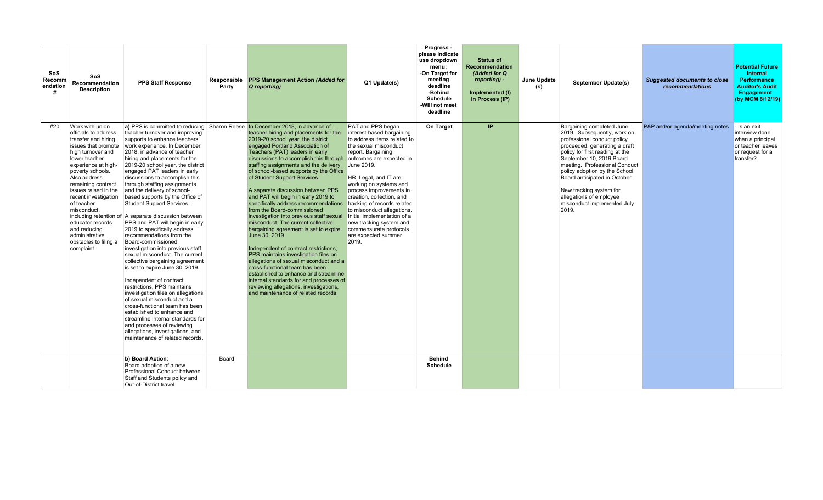| SoS<br>Recomm<br>endation | SoS<br>Recommendation<br><b>Description</b>                                                                                                                                                                                                                                                                                                                                            | <b>PPS Staff Response</b>                                                                                                                                                                                                                                                                                                                                                                                                                                                                                                                                                                                                                                                                                                                                                                                                                                                                                                                                                                                                                                                      | Responsible<br>Party | <b>PPS Management Action (Added for</b><br>Q reporting)                                                                                                                                                                                                                                                                                                                                                                                                                                                                                                                                                                                                                                                                                                                                                                                                                                                                                                                                                                                                  | Q1 Update(s)                                                                                                                                                                                                                                                                                                                                                                                                                           | Progress -<br>please indicate<br>use dropdown<br>menu:<br>-On Target for<br>meeting<br>deadline<br>-Behind<br><b>Schedule</b><br>-Will not meet<br>deadline | <b>Status of</b><br>Recommendation<br>(Added for Q<br>reporting) -<br>Implemented (I)<br>In Process (IP) | June Update<br>(s) | September Update(s)                                                                                                                                                                                                                                                                                                                                                                      | <b>Suggested documents to close</b><br>recommendations | <b>Potential Future</b><br>Internal<br><b>Performance</b><br><b>Auditor's Audit</b><br>Engagement<br>(by MCM 8/12/19) |
|---------------------------|----------------------------------------------------------------------------------------------------------------------------------------------------------------------------------------------------------------------------------------------------------------------------------------------------------------------------------------------------------------------------------------|--------------------------------------------------------------------------------------------------------------------------------------------------------------------------------------------------------------------------------------------------------------------------------------------------------------------------------------------------------------------------------------------------------------------------------------------------------------------------------------------------------------------------------------------------------------------------------------------------------------------------------------------------------------------------------------------------------------------------------------------------------------------------------------------------------------------------------------------------------------------------------------------------------------------------------------------------------------------------------------------------------------------------------------------------------------------------------|----------------------|----------------------------------------------------------------------------------------------------------------------------------------------------------------------------------------------------------------------------------------------------------------------------------------------------------------------------------------------------------------------------------------------------------------------------------------------------------------------------------------------------------------------------------------------------------------------------------------------------------------------------------------------------------------------------------------------------------------------------------------------------------------------------------------------------------------------------------------------------------------------------------------------------------------------------------------------------------------------------------------------------------------------------------------------------------|----------------------------------------------------------------------------------------------------------------------------------------------------------------------------------------------------------------------------------------------------------------------------------------------------------------------------------------------------------------------------------------------------------------------------------------|-------------------------------------------------------------------------------------------------------------------------------------------------------------|----------------------------------------------------------------------------------------------------------|--------------------|------------------------------------------------------------------------------------------------------------------------------------------------------------------------------------------------------------------------------------------------------------------------------------------------------------------------------------------------------------------------------------------|--------------------------------------------------------|-----------------------------------------------------------------------------------------------------------------------|
| #20                       | Work with union<br>officials to address<br>transfer and hiring<br>issues that promote<br>high turnover and<br>lower teacher<br>experience at high-<br>poverty schools.<br>Also address<br>remaining contract<br>issues raised in the<br>recent investigation<br>of teacher<br>misconduct.<br>educator records<br>and reducing<br>administrative<br>obstacles to filing a<br>complaint. | teacher turnover and improving<br>supports to enhance teachers'<br>work experience. In December<br>2018, in advance of teacher<br>hiring and placements for the<br>2019-20 school year, the district<br>engaged PAT leaders in early<br>discussions to accomplish this<br>through staffing assignments<br>and the delivery of school-<br>based supports by the Office of<br><b>Student Support Services.</b><br>including retention of A separate discussion between<br>PPS and PAT will begin in early<br>2019 to specifically address<br>recommendations from the<br>Board-commissioned<br>investigation into previous staff<br>sexual misconduct. The current<br>collective bargaining agreement<br>is set to expire June 30, 2019.<br>Independent of contract<br>restrictions, PPS maintains<br>investigation files on allegations<br>of sexual misconduct and a<br>cross-functional team has been<br>established to enhance and<br>streamline internal standards for<br>and processes of reviewing<br>allegations, investigations, and<br>maintenance of related records. |                      | a) PPS is committed to reducing Sharon Reese In December 2018, in advance of<br>teacher hiring and placements for the<br>2019-20 school year, the district<br>engaged Portland Association of<br>Teachers (PAT) leaders in early<br>discussions to accomplish this through outcomes are expected in<br>staffing assignments and the delivery<br>of school-based supports by the Office<br>of Student Support Services.<br>A separate discussion between PPS<br>and PAT will begin in early 2019 to<br>specifically address recommendations<br>from the Board-commissioned<br>investigation into previous staff sexual<br>misconduct. The current collective<br>bargaining agreement is set to expire<br>June 30, 2019.<br>Independent of contract restrictions,<br>PPS maintains investigation files on<br>allegations of sexual misconduct and a<br>cross-functional team has been<br>established to enhance and streamline<br>internal standards for and processes of<br>reviewing allegations, investigations,<br>and maintenance of related records. | PAT and PPS began<br>interest-based bargaining<br>to address items related to<br>the sexual misconduct<br>report. Bargaining<br>June 2019.<br>HR, Legal, and IT are<br>working on systems and<br>process improvements in<br>creation, collection, and<br>tracking of records related<br>to misconduct allegations.<br>Initial implementation of a<br>new tracking system and<br>commensurate protocols<br>are expected summer<br>2019. | On Target                                                                                                                                                   | IP.                                                                                                      |                    | Bargaining completed June<br>2019. Subsequently, work on<br>professional conduct policy<br>proceeded, generating a draft<br>policy for first reading at the<br>September 10, 2019 Board<br>meeting. Professional Conduct<br>policy adoption by the School<br>Board anticipated in October.<br>New tracking system for<br>allegations of employee<br>misconduct implemented July<br>2019. | P&P and/or agenda/meeting notes                        | - Is an exit<br>interview done<br>when a principal<br>or teacher leaves<br>or request for a<br>transfer?              |
|                           |                                                                                                                                                                                                                                                                                                                                                                                        | b) Board Action:<br>Board adoption of a new<br>Professional Conduct between<br>Staff and Students policy and<br>Out-of-District travel.                                                                                                                                                                                                                                                                                                                                                                                                                                                                                                                                                                                                                                                                                                                                                                                                                                                                                                                                        | Board                |                                                                                                                                                                                                                                                                                                                                                                                                                                                                                                                                                                                                                                                                                                                                                                                                                                                                                                                                                                                                                                                          |                                                                                                                                                                                                                                                                                                                                                                                                                                        | <b>Behind</b><br><b>Schedule</b>                                                                                                                            |                                                                                                          |                    |                                                                                                                                                                                                                                                                                                                                                                                          |                                                        |                                                                                                                       |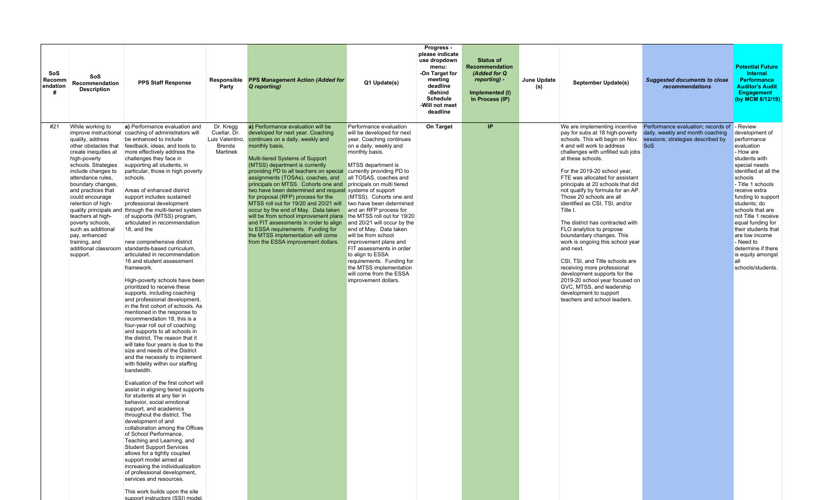| SoS<br>Recomm<br>endation<br>Ш | SoS<br>Recommendation<br><b>Description</b>                                                                                                                                                                                                                                                                                                                                                     | <b>PPS Staff Response</b>                                                                                                                                                                                                                                                                                                                                                                                                                                                                                                                                                                                                                                                                                                                                                                                                                                                                                                                                                                                                                                                                                                                                                                                                                                                                                                                                                                                                                                                                                                                                                                                                                                                                                                                                                  | Responsible<br>Party                                               | <b>PPS Management Action (Added for</b><br>Q reporting)                                                                                                                                                                                                                                                                                                                                                                                                                                                                                                                                                                                                                                                                                  | Q1 Update(s)                                                                                                                                                                                                                                                                                                                                                                                                                                                                                                                                                                                 | Progress -<br>please indicate<br>use dropdown<br>menu:<br>-On Target for<br>meeting<br>deadline<br>-Behind<br><b>Schedule</b><br>-Will not meet<br>deadline | <b>Status of</b><br>Recommendation<br>(Added for Q<br>reporting) -<br>Implemented (I)<br>In Process (IP) | June Update<br>(s) | September Update(s)                                                                                                                                                                                                                                                                                                                                                                                                                                                                                                                                                                                                                                                                                                                                                                          | <b>Suggested documents to close</b><br>recommendations                                                                    | <b>Potential Future</b><br><b>Internal</b><br><b>Performance</b><br><b>Auditor's Audit</b><br>Engagement<br>(by MCM 8/12/19)                                                                                                                                                                                                                                                                                         |
|--------------------------------|-------------------------------------------------------------------------------------------------------------------------------------------------------------------------------------------------------------------------------------------------------------------------------------------------------------------------------------------------------------------------------------------------|----------------------------------------------------------------------------------------------------------------------------------------------------------------------------------------------------------------------------------------------------------------------------------------------------------------------------------------------------------------------------------------------------------------------------------------------------------------------------------------------------------------------------------------------------------------------------------------------------------------------------------------------------------------------------------------------------------------------------------------------------------------------------------------------------------------------------------------------------------------------------------------------------------------------------------------------------------------------------------------------------------------------------------------------------------------------------------------------------------------------------------------------------------------------------------------------------------------------------------------------------------------------------------------------------------------------------------------------------------------------------------------------------------------------------------------------------------------------------------------------------------------------------------------------------------------------------------------------------------------------------------------------------------------------------------------------------------------------------------------------------------------------------|--------------------------------------------------------------------|------------------------------------------------------------------------------------------------------------------------------------------------------------------------------------------------------------------------------------------------------------------------------------------------------------------------------------------------------------------------------------------------------------------------------------------------------------------------------------------------------------------------------------------------------------------------------------------------------------------------------------------------------------------------------------------------------------------------------------------|----------------------------------------------------------------------------------------------------------------------------------------------------------------------------------------------------------------------------------------------------------------------------------------------------------------------------------------------------------------------------------------------------------------------------------------------------------------------------------------------------------------------------------------------------------------------------------------------|-------------------------------------------------------------------------------------------------------------------------------------------------------------|----------------------------------------------------------------------------------------------------------|--------------------|----------------------------------------------------------------------------------------------------------------------------------------------------------------------------------------------------------------------------------------------------------------------------------------------------------------------------------------------------------------------------------------------------------------------------------------------------------------------------------------------------------------------------------------------------------------------------------------------------------------------------------------------------------------------------------------------------------------------------------------------------------------------------------------------|---------------------------------------------------------------------------------------------------------------------------|----------------------------------------------------------------------------------------------------------------------------------------------------------------------------------------------------------------------------------------------------------------------------------------------------------------------------------------------------------------------------------------------------------------------|
| #21                            | While working to<br>quality, address<br>other obstacles that<br>create inequities at<br>high-poverty<br>schools. Strategies<br>include changes to<br>attendance rules.<br>boundary changes,<br>and practices that<br>could encourage<br>retention of high-<br>teachers at high-<br>poverty schools,<br>such as additional<br>pay, enhanced<br>training, and<br>additional classroom<br>support. | a) Performance evaluation and<br>improve instructional coaching of administrators will<br>be enhanced to include<br>feedback, ideas, and tools to<br>more effectively address the<br>challenges they face in<br>supporting all students, in<br>particular, those in high poverty<br>schools.<br>Areas of enhanced district<br>support includes sustained<br>professional development<br>quality principals and through the multi-tiered system<br>of supports (MTSS) program,<br>articulated in recommendation<br>18, and the<br>new comprehensive district<br>standards-based curriculum.<br>articulated in recommendation<br>16 and student assessment<br>framework.<br>High-poverty schools have been<br>prioritized to receive these<br>supports, including coaching<br>and professional development,<br>in the first cohort of schools. As<br>mentioned in the response to<br>recommendation 18, this is a<br>four-year roll out of coaching<br>and supports to all schools in<br>the district. The reason that it<br>will take four years is due to the<br>size and needs of the District<br>and the necessity to implement<br>with fidelity within our staffing<br>bandwidth.<br>Evaluation of the first cohort will<br>assist in aligning tiered supports<br>for students at any tier in<br>behavior, social emotional<br>support, and academics<br>throughout the district. The<br>development of and<br>collaboration among the Offices<br>of School Performance,<br>Teaching and Learning, and<br><b>Student Support Services</b><br>allows for a tightly coupled<br>support model aimed at<br>increasing the individualization<br>of professional development,<br>services and resources.<br>This work builds upon the site<br>support instructors (SSI) model | Dr. Kregg<br>Cuellar, Dr.<br>Luis Valentino.<br>Brenda<br>Martinek | a) Performance evaluation will be<br>developed for next year. Coaching<br>continues on a daily, weekly and<br>monthly basis.<br>Multi-tiered Systems of Support<br>(MTSS) department is currently<br>providing PD to all teachers on special<br>assignments (TOSAs), coaches, and<br>principals on MTSS. Cohorts one and<br>two have been determined and request systems of support<br>for proposal (RFP) process for the<br>MTSS roll out for 19/20 and 20/21 will<br>occur by the end of May. Data taken<br>will be from school improvement plans the MTSS roll out for 19/20<br>and FIT assessments in order to align<br>to ESSA requirements. Funding for<br>the MTSS implementation will come<br>from the ESSA improvement dollars. | Performance evaluation<br>will be developed for next<br>year. Coaching continues<br>on a daily, weekly and<br>monthly basis.<br>MTSS department is<br>currently providing PD to<br>all TOSAS, coaches and<br>principals on multi tiered<br>(MTSS). Cohorts one and<br>two have been determined<br>and an RFP process for<br>and 20/21 will occur by the<br>end of May. Data taken<br>will be from school<br>improvement plans and<br>FIT assessments in order<br>to align to ESSA<br>requirements. Funding for<br>the MTSS implementation<br>will come from the ESSA<br>improvement dollars. | On Target                                                                                                                                                   | IP                                                                                                       |                    | We are implementing incentive<br>pay for subs at 18 high-poverty<br>schools. This will begin on Nov.<br>4 and will work to address<br>challenges with unfilled sub jobs<br>at these schools.<br>For the 2019-20 school year,<br>FTE was allocated for assistant<br>principals at 20 schools that did<br>not qualify by formula for an AP.<br>Those 20 schools are all<br>identified as CSI, TSI, and/or<br>Title I.<br>The district has contracted with<br>FLO analytics to propose<br>boundardary changes. This<br>work is ongoing this school year<br>and next.<br>CSI, TSI, and Title schools are<br>receiving more professional<br>development supports for the<br>2019-20 school year focused on<br>GVC, MTSS, and leadership<br>development to support<br>teachers and school leaders. | Performance evaluation; records of<br>daily, weekly and month coaching<br>sessions; strategies described by<br><b>SoS</b> | - Review<br>development of<br>performance<br>evaluation<br>- How are<br>students with<br>special needs<br>identified at all the<br>schools<br>- Title 1 schools<br>receive extra<br>funding to support<br>students; do<br>schools that are<br>not Title 1 receive<br>equal funding for<br>their students that<br>are low income<br>- Need to<br>determine if there<br>is equity amongst<br>lall<br>schools/students. |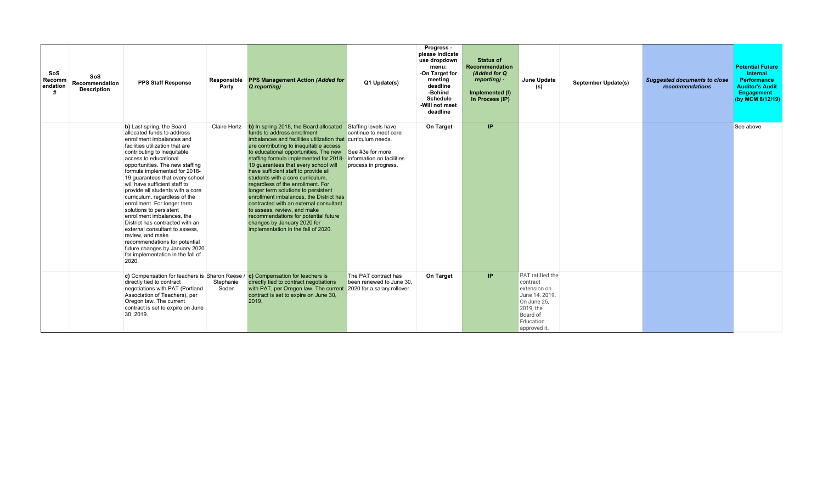| SoS<br>Recomm<br>endation | SoS<br><b>Recommendation</b><br><b>Description</b> | <b>PPS Staff Response</b>                                                                                                                                                                                                                                                                                                                                                                                                                                                                                                                                                                                                                                                                      | Responsible<br>Party | <b>PPS Management Action (Added for</b><br>Q reporting)                                                                                                                                                                                                                                                                                                                                                                                                                                                                                                                                                                                                                                                                        | Q1 Update(s)                                                                              | Progress -<br>please indicate<br>use dropdown<br>menu:<br>-On Target for<br>meeting<br>deadline<br>-Behind<br><b>Schedule</b><br>-Will not meet<br>deadline | <b>Status of</b><br>Recommendation<br>(Added for Q<br>reporting) -<br>Implemented (I)<br>In Process (IP) | June Update<br>(s)                                                                                                                         | <b>September Update(s)</b> | <b>Suggested documents to close</b><br>recommendations | <b>Potential Future</b><br>Internal<br><b>Performance</b><br><b>Auditor's Audit</b><br>Engagement<br>(by MCM 8/12/19) |
|---------------------------|----------------------------------------------------|------------------------------------------------------------------------------------------------------------------------------------------------------------------------------------------------------------------------------------------------------------------------------------------------------------------------------------------------------------------------------------------------------------------------------------------------------------------------------------------------------------------------------------------------------------------------------------------------------------------------------------------------------------------------------------------------|----------------------|--------------------------------------------------------------------------------------------------------------------------------------------------------------------------------------------------------------------------------------------------------------------------------------------------------------------------------------------------------------------------------------------------------------------------------------------------------------------------------------------------------------------------------------------------------------------------------------------------------------------------------------------------------------------------------------------------------------------------------|-------------------------------------------------------------------------------------------|-------------------------------------------------------------------------------------------------------------------------------------------------------------|----------------------------------------------------------------------------------------------------------|--------------------------------------------------------------------------------------------------------------------------------------------|----------------------------|--------------------------------------------------------|-----------------------------------------------------------------------------------------------------------------------|
|                           |                                                    | b) Last spring, the Board<br>allocated funds to address<br>enrollment imbalances and<br>facilities utilization that are<br>contributing to inequitable<br>access to educational<br>opportunities. The new staffing<br>formula implemented for 2018-<br>19 quarantees that every school<br>will have sufficient staff to<br>provide all students with a core<br>curriculum, regardless of the<br>enrollment. For longer term<br>solutions to persistent<br>enrollment imbalances, the<br>District has contracted with an<br>external consultant to assess.<br>review, and make<br>recommendations for potential<br>future changes by January 2020<br>for implementation in the fall of<br>2020. | <b>Claire Hertz</b>  | b) In spring 2018, the Board allocated<br>funds to address enrollment<br>imbalances and facilities utilization that curriculum needs.<br>are contributing to inequitable access<br>to educational opportunities. The new<br>staffing formula implemented for 2018- information on facilities<br>19 guarantees that every school will<br>have sufficient staff to provide all<br>students with a core curriculum,<br>regardless of the enrollment. For<br>longer term solutions to persistent<br>enrollment imbalances, the District has<br>contracted with an external consultant<br>to assess, review, and make<br>recommendations for potential future<br>changes by January 2020 for<br>implementation in the fall of 2020. | Staffing levels have<br>continue to meet core<br>See #3e for more<br>process in progress. | On Target                                                                                                                                                   | IP                                                                                                       |                                                                                                                                            |                            |                                                        | See above                                                                                                             |
|                           |                                                    | c) Compensation for teachers is Sharon Reese /<br>directly tied to contract<br>negotiations with PAT (Portland<br>Association of Teachers), per<br>Oregon law. The current<br>contract is set to expire on June<br>30, 2019.                                                                                                                                                                                                                                                                                                                                                                                                                                                                   | Stephanie<br>Soden   | c) Compensation for teachers is<br>directly tied to contract negotiations<br>with PAT, per Oregon law. The current 2020 for a salary rollover.<br>contract is set to expire on June 30,<br>2019.                                                                                                                                                                                                                                                                                                                                                                                                                                                                                                                               | The PAT contract has<br>been renewed to June 30.                                          | On Target                                                                                                                                                   | IP.                                                                                                      | <b>PAT</b> ratified the<br>contract<br>extension on<br>June 14, 2019.<br>On June 25,<br>2019, the<br>Board of<br>Education<br>approved it. |                            |                                                        |                                                                                                                       |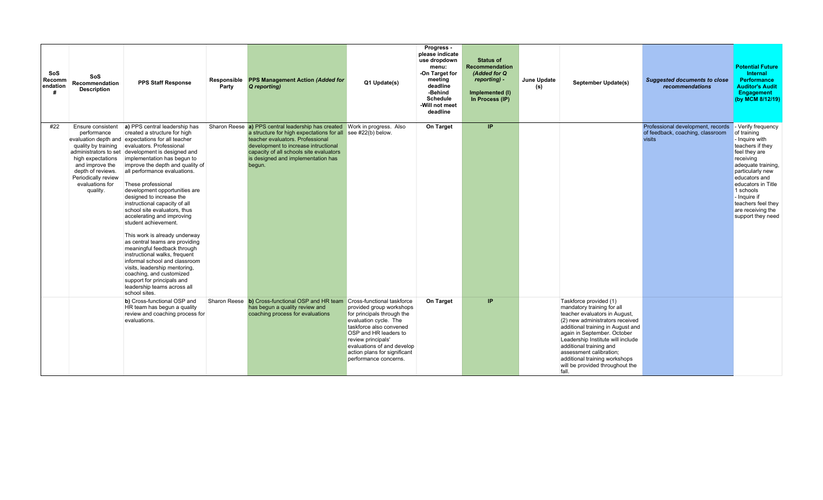| SoS<br>Recomm<br>endation<br># | SoS<br>Recommendation<br><b>Description</b>                                                                                                                                | <b>PPS Staff Response</b>                                                                                                                                                                                                                                                                                                                                                                                                                                                                                                                                                                                                                                                                                                                                                                                                       | Responsible<br>Party | <b>PPS Management Action (Added for</b><br>Q reporting)                                                                                                                                                                                                                | Q1 Update(s)                                                                                                                                                                                                                                                                          | Progress -<br>please indicate<br>use dropdown<br>menu:<br>-On Target for<br>meeting<br>deadline<br>-Behind<br><b>Schedule</b><br>-Will not meet<br>deadline | <b>Status of</b><br><b>Recommendation</b><br>(Added for Q<br>reporting) -<br>Implemented (I)<br>In Process (IP) | June Update<br>(s) | September Update(s)                                                                                                                                                                                                                                                                                                                                                  | <b>Suggested documents to close</b><br>recommendations                          | <b>Potential Future</b><br>Internal<br>Performance<br><b>Auditor's Audit</b><br><b>Engagement</b><br>(by MCM 8/12/19)                                                                                                                                                               |
|--------------------------------|----------------------------------------------------------------------------------------------------------------------------------------------------------------------------|---------------------------------------------------------------------------------------------------------------------------------------------------------------------------------------------------------------------------------------------------------------------------------------------------------------------------------------------------------------------------------------------------------------------------------------------------------------------------------------------------------------------------------------------------------------------------------------------------------------------------------------------------------------------------------------------------------------------------------------------------------------------------------------------------------------------------------|----------------------|------------------------------------------------------------------------------------------------------------------------------------------------------------------------------------------------------------------------------------------------------------------------|---------------------------------------------------------------------------------------------------------------------------------------------------------------------------------------------------------------------------------------------------------------------------------------|-------------------------------------------------------------------------------------------------------------------------------------------------------------|-----------------------------------------------------------------------------------------------------------------|--------------------|----------------------------------------------------------------------------------------------------------------------------------------------------------------------------------------------------------------------------------------------------------------------------------------------------------------------------------------------------------------------|---------------------------------------------------------------------------------|-------------------------------------------------------------------------------------------------------------------------------------------------------------------------------------------------------------------------------------------------------------------------------------|
| #22                            | Ensure consistent<br>performance<br>quality by training<br>high expectations<br>and improve the<br>depth of reviews.<br>Periodically review<br>evaluations for<br>quality. | a) PPS central leadership has<br>created a structure for high<br>evaluation depth and expectations for all teacher<br>evaluators. Professional<br>administrators to set development is designed and<br>implementation has begun to<br>improve the depth and quality of<br>all performance evaluations.<br>These professional<br>development opportunities are<br>designed to increase the<br>instructional capacity of all<br>school site evaluators, thus<br>accelerating and improving<br>student achievement.<br>This work is already underway<br>as central teams are providing<br>meaningful feedback through<br>instructional walks, frequent<br>informal school and classroom<br>visits, leadership mentoring,<br>coaching, and customized<br>support for principals and<br>leadership teams across all<br>school sites. |                      | Sharon Reese a) PPS central leadership has created<br>a structure for high expectations for all<br>teacher evaluators. Professional<br>development to increase intructional<br>capacity of all schools site evaluators<br>is designed and implementation has<br>begun. | Work in progress. Also<br>see $#22(b)$ below.                                                                                                                                                                                                                                         | On Target                                                                                                                                                   | IP.                                                                                                             |                    |                                                                                                                                                                                                                                                                                                                                                                      | Professional development, records<br>of feedback, coaching, classroom<br>visits | - Verify frequency<br>of training<br>- Inquire with<br>teachers if they<br>feel they are<br>receiving<br>adequate training,<br>particularly new<br>educators and<br>educators in Title<br>1 schools<br>- Inquire if<br>teachers feel they<br>are receiving the<br>support they need |
|                                |                                                                                                                                                                            | b) Cross-functional OSP and<br>HR team has begun a quality<br>review and coaching process for<br>evaluations.                                                                                                                                                                                                                                                                                                                                                                                                                                                                                                                                                                                                                                                                                                                   |                      | Sharon Reese b) Cross-functional OSP and HR team<br>has begun a quality review and<br>coaching process for evaluations                                                                                                                                                 | <b>Cross-functional taskforce</b><br>provided group workshops<br>for principals through the<br>evaluation cycle. The<br>taskforce also convened<br>OSP and HR leaders to<br>review principals'<br>evaluations of and develop<br>action plans for significant<br>performance concerns. | On Target                                                                                                                                                   | IP                                                                                                              |                    | Taskforce provided (1)<br>mandatory training for all<br>teacher evaluators in August,<br>(2) new administrators received<br>additional training in August and<br>again in September. October<br>Leadership Institute will include<br>additional training and<br>assessment calibration;<br>additional training workshops<br>will be provided throughout the<br>fall. |                                                                                 |                                                                                                                                                                                                                                                                                     |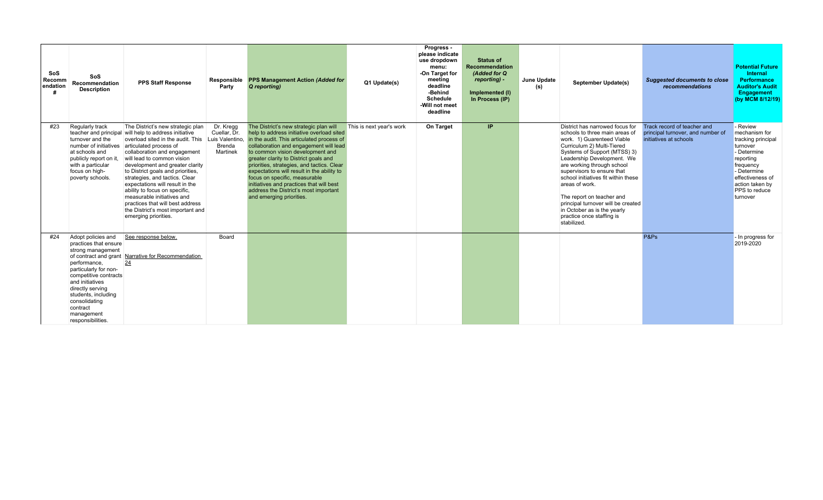| SoS<br>Recomm<br>endation | SoS<br><b>Recommendation</b><br><b>Description</b>                                                                                                                                                                                                               | <b>PPS Staff Response</b>                                                                                                                                                                                                                                                                                                                                                                                                                                                                                                                            | Responsible<br>Party                            | <b>PPS Management Action (Added for</b><br>Q reporting)                                                                                                                                                                                                                                                                                                                                                                                                                                               | Q1 Update(s)             | Progress -<br>please indicate<br>use dropdown<br>menu:<br>-On Target for<br>meeting<br>deadline<br>-Behind<br><b>Schedule</b><br>-Will not meet<br>deadline | <b>Status of</b><br>Recommendation<br>(Added for Q<br>reporting) -<br>Implemented (I)<br>In Process (IP) | June Update<br>(s) | <b>September Update(s)</b>                                                                                                                                                                                                                                                                                                                                                                                                                                     | <b>Suggested documents to close</b><br>recommendations                                     | <b>Potential Future</b><br>Internal<br><b>Performance</b><br><b>Auditor's Audit</b><br>Engagement<br>(by MCM 8/12/19)                                                                          |
|---------------------------|------------------------------------------------------------------------------------------------------------------------------------------------------------------------------------------------------------------------------------------------------------------|------------------------------------------------------------------------------------------------------------------------------------------------------------------------------------------------------------------------------------------------------------------------------------------------------------------------------------------------------------------------------------------------------------------------------------------------------------------------------------------------------------------------------------------------------|-------------------------------------------------|-------------------------------------------------------------------------------------------------------------------------------------------------------------------------------------------------------------------------------------------------------------------------------------------------------------------------------------------------------------------------------------------------------------------------------------------------------------------------------------------------------|--------------------------|-------------------------------------------------------------------------------------------------------------------------------------------------------------|----------------------------------------------------------------------------------------------------------|--------------------|----------------------------------------------------------------------------------------------------------------------------------------------------------------------------------------------------------------------------------------------------------------------------------------------------------------------------------------------------------------------------------------------------------------------------------------------------------------|--------------------------------------------------------------------------------------------|------------------------------------------------------------------------------------------------------------------------------------------------------------------------------------------------|
| #23                       | Regularly track<br>turnover and the<br>number of initiatives<br>at schools and<br>publicly report on it,<br>with a particular<br>focus on high-<br>poverty schools.                                                                                              | The District's new strategic plan<br>teacher and principal will help to address initiative<br>overload sited in the audit. This Luis Valentino.<br>articulated process of<br>collaboration and engagement<br>will lead to common vision<br>development and greater clarity<br>to District goals and priorities.<br>strategies, and tactics. Clear<br>expectations will result in the<br>ability to focus on specific.<br>measurable initiatives and<br>practices that will best address<br>the District's most important and<br>emerging priorities. | Dr. Kregg<br>Cuellar, Dr.<br>Brenda<br>Martinek | The District's new strategic plan will<br>help to address initiative overload sited<br>in the audit. This articulated process of<br>collaboration and engagement will lead<br>to common vision development and<br>greater clarity to District goals and<br>priorities, strategies, and tactics. Clear<br>expectations will result in the ability to<br>focus on specific, measurable<br>initiatives and practices that will best<br>address the District's most important<br>and emerging priorities. | This is next year's work | On Target                                                                                                                                                   | IP.                                                                                                      |                    | District has narrowed focus for<br>schools to three main areas of<br>work. 1) Guarenteed Viable<br>Curriculum 2) Multi-Tiered<br>Systems of Support (MTSS) 3)<br>Leadership Development. We<br>are working through school<br>supervisors to ensure that<br>school initiatives fit within these<br>areas of work.<br>The report on teacher and<br>principal turnover will be created<br>in October as is the yearly<br>practice once staffing is<br>stabilized. | Track record of teacher and<br>principal turnover, and number of<br>initiatives at schools | - Review<br>mechanism for<br>tracking principal<br>turnover<br>- Determine<br>reporting<br>frequency<br>- Determine<br>effectiveness of<br>action taken by<br><b>PPS</b> to reduce<br>turnover |
| #24                       | Adopt policies and<br>practices that ensure<br>strong management<br>performance,<br>particularly for non-<br>competitive contracts<br>and initiatives<br>directly serving<br>students, including<br>consolidating<br>contract<br>management<br>responsibilities. | See response below.<br>of contract and grant Narrative for Recommendation<br>24                                                                                                                                                                                                                                                                                                                                                                                                                                                                      | Board                                           |                                                                                                                                                                                                                                                                                                                                                                                                                                                                                                       |                          |                                                                                                                                                             |                                                                                                          |                    |                                                                                                                                                                                                                                                                                                                                                                                                                                                                | P&Ps                                                                                       | - In progress for<br>2019-2020                                                                                                                                                                 |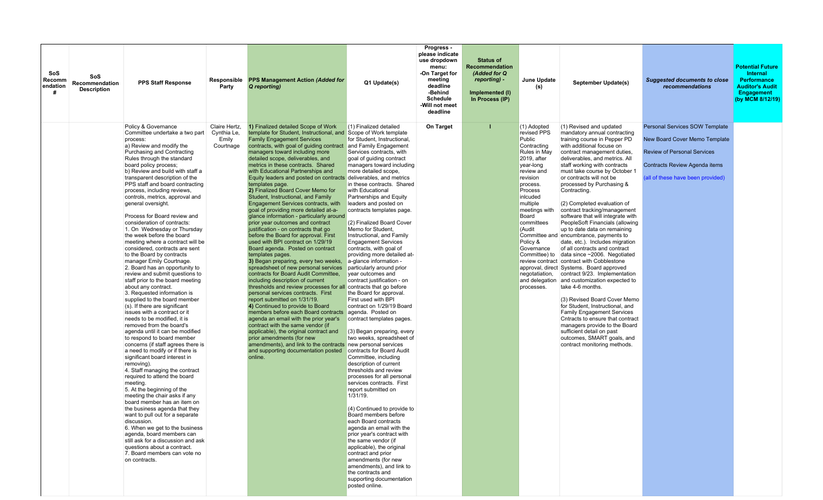| SoS<br>Recomm<br>endation<br># | SoS<br>Recommendation<br><b>Description</b> | <b>PPS Staff Response</b>                                                                                                                                                                                                                                                                                                                                                                                                                                                                                                                                                                                                                                                                                                                                                                                                                                                                                                                                                                                                                                                                                                                                                                                                                                                                                                                                                                                                                                                                                                                                                                                            | Party                                              | Responsible PPS Management Action (Added for<br>Q reporting)                                                                                                                                                                                                                                                                                                                                                                                                                                                                                                                                                                                                                                                                                                                                                                                                                                                                                                                                                                                                                                                                                                                                                                                                                                                                                                                                                                                                                              | Q1 Update(s)                                                                                                                                                                                                                                                                                                                                                                                                                                                                                                                                                                                                                                                                                                                                                                                                                                                                                                                                                                                                                                                                                                                                                                                                                                                                                                                                                                          | Progress -<br>please indicate<br>use dropdown<br>menu:<br>-On Target for<br>meeting<br>deadline<br>-Behind<br><b>Schedule</b><br>-Will not meet<br>deadline | <b>Status of</b><br><b>Recommendation</b><br>(Added for Q<br>reporting) -<br>Implemented (I)<br>In Process (IP) | June Update<br>(s)                                                                                                                                                                                                                                                                                           | September Update(s)                                                                                                                                                                                                                                                                                                                                                                                                                                                                                                                                                                                                                                                                                                                                                                                                                                                                                                                                                                                                                                                                                                        | <b>Suggested documents to close</b><br><i>recommendations</i>                                                                                                               | <b>Potential Future</b><br>Internal<br><b>Performance</b><br><b>Auditor's Audit</b><br><b>Engagement</b><br>(by MCM 8/12/19) |
|--------------------------------|---------------------------------------------|----------------------------------------------------------------------------------------------------------------------------------------------------------------------------------------------------------------------------------------------------------------------------------------------------------------------------------------------------------------------------------------------------------------------------------------------------------------------------------------------------------------------------------------------------------------------------------------------------------------------------------------------------------------------------------------------------------------------------------------------------------------------------------------------------------------------------------------------------------------------------------------------------------------------------------------------------------------------------------------------------------------------------------------------------------------------------------------------------------------------------------------------------------------------------------------------------------------------------------------------------------------------------------------------------------------------------------------------------------------------------------------------------------------------------------------------------------------------------------------------------------------------------------------------------------------------------------------------------------------------|----------------------------------------------------|-------------------------------------------------------------------------------------------------------------------------------------------------------------------------------------------------------------------------------------------------------------------------------------------------------------------------------------------------------------------------------------------------------------------------------------------------------------------------------------------------------------------------------------------------------------------------------------------------------------------------------------------------------------------------------------------------------------------------------------------------------------------------------------------------------------------------------------------------------------------------------------------------------------------------------------------------------------------------------------------------------------------------------------------------------------------------------------------------------------------------------------------------------------------------------------------------------------------------------------------------------------------------------------------------------------------------------------------------------------------------------------------------------------------------------------------------------------------------------------------|---------------------------------------------------------------------------------------------------------------------------------------------------------------------------------------------------------------------------------------------------------------------------------------------------------------------------------------------------------------------------------------------------------------------------------------------------------------------------------------------------------------------------------------------------------------------------------------------------------------------------------------------------------------------------------------------------------------------------------------------------------------------------------------------------------------------------------------------------------------------------------------------------------------------------------------------------------------------------------------------------------------------------------------------------------------------------------------------------------------------------------------------------------------------------------------------------------------------------------------------------------------------------------------------------------------------------------------------------------------------------------------|-------------------------------------------------------------------------------------------------------------------------------------------------------------|-----------------------------------------------------------------------------------------------------------------|--------------------------------------------------------------------------------------------------------------------------------------------------------------------------------------------------------------------------------------------------------------------------------------------------------------|----------------------------------------------------------------------------------------------------------------------------------------------------------------------------------------------------------------------------------------------------------------------------------------------------------------------------------------------------------------------------------------------------------------------------------------------------------------------------------------------------------------------------------------------------------------------------------------------------------------------------------------------------------------------------------------------------------------------------------------------------------------------------------------------------------------------------------------------------------------------------------------------------------------------------------------------------------------------------------------------------------------------------------------------------------------------------------------------------------------------------|-----------------------------------------------------------------------------------------------------------------------------------------------------------------------------|------------------------------------------------------------------------------------------------------------------------------|
|                                |                                             | Policy & Governance<br>Committee undertake a two part<br>process:<br>a) Review and modify the<br>Purchasing and Contracting<br>Rules through the standard<br>board policy process;<br>b) Review and build with staff a<br>transparent description of the<br>PPS staff and board contracting<br>process, including reviews,<br>controls, metrics, approval and<br>general oversight.<br>Process for Board review and<br>consideration of contracts:<br>1. On Wednesday or Thursday<br>the week before the board<br>meeting where a contract will be<br>considered, contracts are sent<br>to the Board by contracts<br>manager Emily Courtnage.<br>2. Board has an opportunity to<br>review and submit questions to<br>staff prior to the board meeting<br>about any contract.<br>3. Requested information is<br>supplied to the board member<br>(s). If there are significant<br>issues with a contract or it<br>needs to be modified, it is<br>removed from the board's<br>agenda until it can be modified<br>to respond to board member<br>concerns (if staff agrees there is<br>a need to modify or if there is<br>significant board interest in<br>removing).<br>4. Staff managing the contract<br>required to attend the board<br>meeting.<br>5. At the beginning of the<br>meeting the chair asks if any<br>board member has an item on<br>the business agenda that they<br>want to pull out for a separate<br>discussion.<br>6. When we get to the business<br>agenda, board members can<br>still ask for a discussion and ask<br>questions about a contract.<br>7. Board members can vote no<br>on contracts. | Claire Hertz,<br>Cynthia Le,<br>Emily<br>Courtnage | 1) Finalized detailed Scope of Work<br>template for Student, Instructional, and<br><b>Family Engagement Services</b><br>contracts, with goal of guiding contract<br>managers toward including more<br>detailed scope, deliverables, and<br>metrics in these contracts. Shared<br>with Educational Partnerships and<br>Equity leaders and posted on contracts deliverables, and metrics<br>templates page.<br>2) Finalized Board Cover Memo for<br>Student, Instructional, and Family<br>Engagement Services contracts, with<br>goal of providing more detailed at-a-<br>glance information - particularly around<br>prior year outcomes and contract<br>justification - on contracts that go<br>before the Board for approval. First<br>used with BPI contract on 1/29/19<br>Board agenda. Posted on contract<br>templates pages.<br>3) Began preparing, every two weeks,<br>spreadsheet of new personal services<br>contracts for Board Audit Committee,<br>including description of current<br>thresholds and review processes for all contracts that go before<br>personal services contracts. First<br>report submitted on 1/31/19.<br>4) Continued to provide to Board<br>members before each Board contracts<br>agenda an email with the prior year's<br>contract with the same vendor (if<br>applicable), the original contract and<br>prior amendments (for new<br>amendments), and link to the contracts new personal services<br>and supporting documentation posted<br>online. | (1) Finalized detailed<br>Scope of Work template<br>for Student. Instructional.<br>and Family Engagement<br>Services contracts, with<br>goal of quiding contract<br>managers toward including<br>more detailed scope.<br>in these contracts. Shared<br>with Educational<br>Partnerships and Equity<br>leaders and posted on<br>contracts templates page.<br>(2) Finalized Board Cover<br>Memo for Student,<br>Instructional, and Family<br><b>Engagement Services</b><br>contracts, with goal of<br>providing more detailed at-<br>a-glance information -<br>particularly around prior<br>year outcomes and<br>contract justification - on<br>the Board for approval.<br>First used with BPI<br>contract on 1/29/19 Board<br>agenda. Posted on<br>contract templates pages.<br>(3) Began preparing, every<br>two weeks, spreadsheet of<br>contracts for Board Audit<br>Committee, including<br>description of current<br>thresholds and review<br>processes for all personal<br>services contracts. First<br>report submitted on<br>1/31/19.<br>(4) Continued to provide to<br>Board members before<br>each Board contracts<br>agenda an email with the<br>prior year's contract with<br>the same vendor (if<br>applicable), the original<br>contract and prior<br>amendments (for new<br>amendments), and link to<br>the contracts and<br>supporting documentation<br>posted online. | On Target                                                                                                                                                   |                                                                                                                 | (1) Adopted<br>revised PPS<br>Public<br>Contracting<br><b>Rules in May</b><br>2019, after<br>year-long<br>review and<br>revision<br>process.<br>Process<br>inlcuded<br>multiple<br>meetings with<br>Board<br>committees<br>(Audit<br>Policy &<br>Governance<br>Committee) to<br>negotatiation,<br>processes. | (1) Revised and updated<br>mandatory annual contracting<br>training course in Pepper PD<br>with additional focuse on<br>contract management duties,<br>deliverables, and metrics. All<br>staff working with contracts<br>must take course by October 1<br>or contracts will not be<br>processed by Purchasing &<br>Contracting.<br>(2) Completed evaluation of<br>contract tracking/management<br>software that will integrate with<br>PeopleSoft Financials (allowing<br>up to date data on remaining<br>Committee and encumbrance, payments to<br>date, etc.). Includes migration<br>of all contracts and contract<br>data since ~2006. Negotiated<br>review contract contract with Cobblestone<br>approval, direct Systems. Board approved<br>contract 9/23. Implementation<br>and delegation and customization expected to<br>take 4-6 months.<br>(3) Revised Board Cover Memo<br>for Student, Instructional, and<br><b>Family Engagement Services</b><br>Cntracts to ensure that contract<br>managers provide to the Board<br>sufficient detail on past<br>outcomes, SMART goals, and<br>contract monitoring methods. | Personal Services SOW Template<br>New Board Cover Memo Template<br><b>Review of Personal Services</b><br>Contracts Review Agenda items<br>(all of these have been provided) |                                                                                                                              |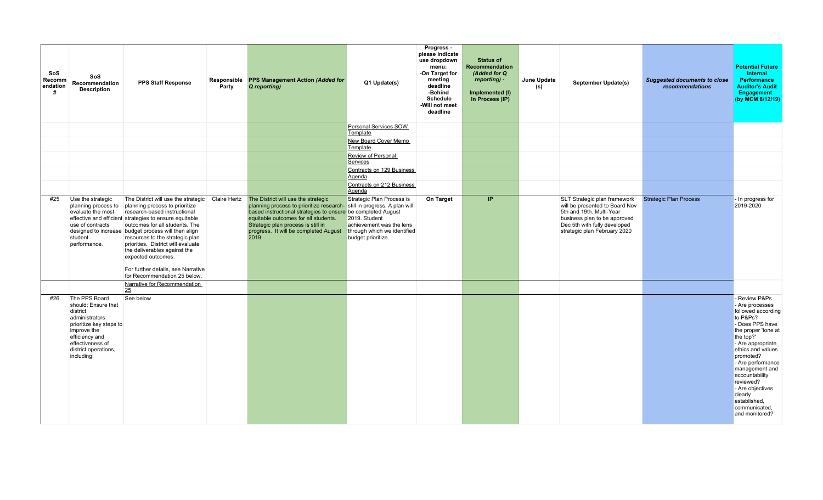| <b>SoS</b><br><b>Recomm</b><br>endation<br># | <b>SoS</b><br>Recommendation<br><b>Description</b>                                                                                                                                       | <b>PPS Staff Response</b>                                                                                                                                                                                                                                                                                                                                                                                                                                                  | Responsible<br>Party | <b>PPS Management Action (Added for</b><br>Q reporting)                                                                                                                                                                                                                                                       | Q1 Update(s)                                                                                                                | Progress -<br>please indicate<br>use dropdown<br>menu:<br>-On Target for<br>meeting<br>deadline<br>-Behind<br><b>Schedule</b><br>-Will not meet<br>deadline | <b>Status of</b><br>Recommendation<br>(Added for Q<br>reporting) -<br>Implemented (I)<br>In Process (IP) | June Update<br>(s) | September Update(s)                                                                                                                                                                        | <b>Suggested documents to close</b><br>recommendations | <b>Potential Future</b><br>Internal<br><b>Performance</b><br><b>Auditor's Audit</b><br>Engagement<br>(by MCM 8/12/19)                                                                                                                                                                                                                     |
|----------------------------------------------|------------------------------------------------------------------------------------------------------------------------------------------------------------------------------------------|----------------------------------------------------------------------------------------------------------------------------------------------------------------------------------------------------------------------------------------------------------------------------------------------------------------------------------------------------------------------------------------------------------------------------------------------------------------------------|----------------------|---------------------------------------------------------------------------------------------------------------------------------------------------------------------------------------------------------------------------------------------------------------------------------------------------------------|-----------------------------------------------------------------------------------------------------------------------------|-------------------------------------------------------------------------------------------------------------------------------------------------------------|----------------------------------------------------------------------------------------------------------|--------------------|--------------------------------------------------------------------------------------------------------------------------------------------------------------------------------------------|--------------------------------------------------------|-------------------------------------------------------------------------------------------------------------------------------------------------------------------------------------------------------------------------------------------------------------------------------------------------------------------------------------------|
|                                              |                                                                                                                                                                                          |                                                                                                                                                                                                                                                                                                                                                                                                                                                                            |                      |                                                                                                                                                                                                                                                                                                               | Personal Services SOW<br>Template                                                                                           |                                                                                                                                                             |                                                                                                          |                    |                                                                                                                                                                                            |                                                        |                                                                                                                                                                                                                                                                                                                                           |
|                                              |                                                                                                                                                                                          |                                                                                                                                                                                                                                                                                                                                                                                                                                                                            |                      |                                                                                                                                                                                                                                                                                                               | New Board Cover Memo<br>Template                                                                                            |                                                                                                                                                             |                                                                                                          |                    |                                                                                                                                                                                            |                                                        |                                                                                                                                                                                                                                                                                                                                           |
|                                              |                                                                                                                                                                                          |                                                                                                                                                                                                                                                                                                                                                                                                                                                                            |                      |                                                                                                                                                                                                                                                                                                               | Review of Personal<br>Services                                                                                              |                                                                                                                                                             |                                                                                                          |                    |                                                                                                                                                                                            |                                                        |                                                                                                                                                                                                                                                                                                                                           |
|                                              |                                                                                                                                                                                          |                                                                                                                                                                                                                                                                                                                                                                                                                                                                            |                      |                                                                                                                                                                                                                                                                                                               | Contracts on 129 Business<br>Agenda                                                                                         |                                                                                                                                                             |                                                                                                          |                    |                                                                                                                                                                                            |                                                        |                                                                                                                                                                                                                                                                                                                                           |
|                                              |                                                                                                                                                                                          |                                                                                                                                                                                                                                                                                                                                                                                                                                                                            |                      |                                                                                                                                                                                                                                                                                                               | Contracts on 212 Business<br>Agenda                                                                                         |                                                                                                                                                             |                                                                                                          |                    |                                                                                                                                                                                            |                                                        |                                                                                                                                                                                                                                                                                                                                           |
| #25                                          | Use the strategic<br>planning process to<br>evaluate the most<br>use of contracts<br>student<br>performance.                                                                             | The District will use the strategic Claire Hertz<br>planning process to prioritize<br>research-based instructional<br>effective and efficient strategies to ensure equitable<br>outcomes for all students. The<br>designed to increase budget process will then align<br>resources to the strategic plan<br>priorities. District will evaluate<br>the deliverables against the<br>expected outcomes.<br>For further details, see Narrative<br>for Recommendation 25 below. |                      | The District will use the strategic<br>planning process to prioritize research-still in progress. A plan will<br>based instructional strategies to ensure be completed August<br>equitable outcomes for all students.<br>Strategic plan process is still in<br>progress. It will be completed August<br>2019. | Strategic Plan Process is<br>2019. Student<br>achievement was the lens<br>through which we identified<br>budget prioritize. | On Target                                                                                                                                                   | IP                                                                                                       |                    | SLT Strategic plan framework<br>will be presented to Board Nov<br>5th and 19th. Multi-Year<br>business plan to be approved<br>Dec 5th with fully developed<br>strategic plan February 2020 | <b>Strategic Plan Process</b>                          | - In progress for<br>2019-2020                                                                                                                                                                                                                                                                                                            |
|                                              |                                                                                                                                                                                          | Narrative for Recommendation<br>25                                                                                                                                                                                                                                                                                                                                                                                                                                         |                      |                                                                                                                                                                                                                                                                                                               |                                                                                                                             |                                                                                                                                                             |                                                                                                          |                    |                                                                                                                                                                                            |                                                        |                                                                                                                                                                                                                                                                                                                                           |
| #26                                          | The PPS Board<br>should: Ensure that<br>district<br>administrators<br>prioritize key steps to<br>improve the<br>efficiency and<br>effectiveness of<br>district operations,<br>including: | See below                                                                                                                                                                                                                                                                                                                                                                                                                                                                  |                      |                                                                                                                                                                                                                                                                                                               |                                                                                                                             |                                                                                                                                                             |                                                                                                          |                    |                                                                                                                                                                                            |                                                        | - Review P&Ps.<br>- Are processes<br>followed according<br>to P&Ps?<br>- Does PPS have<br>the proper 'tone at<br>the top?'<br>- Are appropriate<br>ethics and values<br>promoted?<br>- Are performance<br>management and<br>accountability<br>reviewed?<br>- Are objectives<br>clearly<br>established,<br>communicated,<br>and monitored? |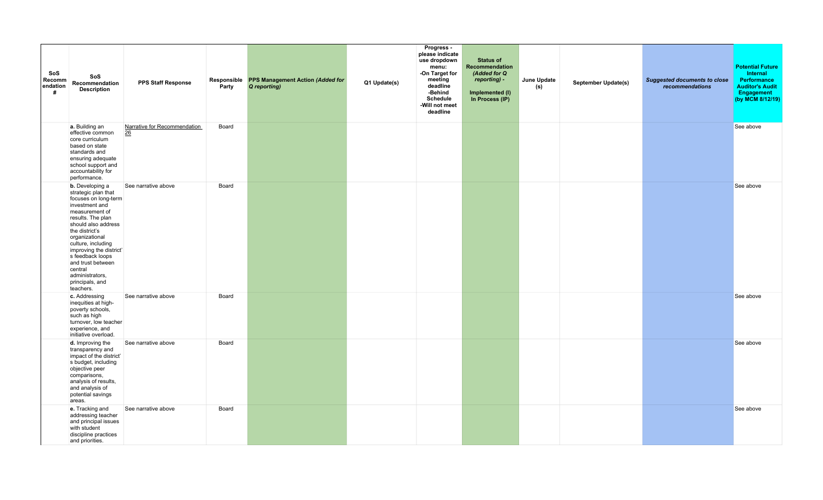| SoS<br>Recomm<br>endation<br># | SoS<br>Recommendation<br><b>Description</b>                                                                                                                                                                                                                                                                                                       | <b>PPS Staff Response</b>          | Responsible<br>Party | <b>PPS Management Action (Added for</b><br>Q reporting) | Q1 Update(s) | Progress -<br>please indicate<br>use dropdown<br>menu:<br>-On Target for<br>meeting<br>deadline<br>-Behind<br><b>Schedule</b><br>-Will not meet<br>deadline | <b>Status of</b><br>Recommendation<br>(Added for Q<br>reporting) -<br>Implemented (I)<br>In Process (IP) | June Update<br>(s) | <b>September Update(s)</b> | <b>Suggested documents to close</b><br>recommendations | <b>Potential Future</b><br>Internal<br><b>Performance</b><br><b>Auditor's Audit</b><br>Engagement<br>(by MCM 8/12/19) |
|--------------------------------|---------------------------------------------------------------------------------------------------------------------------------------------------------------------------------------------------------------------------------------------------------------------------------------------------------------------------------------------------|------------------------------------|----------------------|---------------------------------------------------------|--------------|-------------------------------------------------------------------------------------------------------------------------------------------------------------|----------------------------------------------------------------------------------------------------------|--------------------|----------------------------|--------------------------------------------------------|-----------------------------------------------------------------------------------------------------------------------|
|                                | a. Building an<br>effective common<br>core curriculum<br>based on state<br>standards and<br>ensuring adequate<br>school support and<br>accountability for<br>performance.                                                                                                                                                                         | Narrative for Recommendation<br>26 | Board                |                                                         |              |                                                                                                                                                             |                                                                                                          |                    |                            |                                                        | See above                                                                                                             |
|                                | <b>b.</b> Developing a<br>strategic plan that<br>focuses on long-term<br>investment and<br>measurement of<br>results. The plan<br>should also address<br>the district's<br>organizational<br>culture, including<br>improving the district'<br>s feedback loops<br>and trust between<br>central<br>administrators,<br>principals, and<br>teachers. | See narrative above                | Board                |                                                         |              |                                                                                                                                                             |                                                                                                          |                    |                            |                                                        | See above                                                                                                             |
|                                | c. Addressing<br>inequities at high-<br>poverty schools,<br>such as high<br>turnover, low teacher<br>experience, and<br>initiative overload.                                                                                                                                                                                                      | See narrative above                | Board                |                                                         |              |                                                                                                                                                             |                                                                                                          |                    |                            |                                                        | See above                                                                                                             |
|                                | d. Improving the<br>transparency and<br>impact of the district'<br>s budget, including<br>objective peer<br>comparisons,<br>analysis of results,<br>and analysis of<br>potential savings<br>areas.                                                                                                                                                | See narrative above                | Board                |                                                         |              |                                                                                                                                                             |                                                                                                          |                    |                            |                                                        | See above                                                                                                             |
|                                | e. Tracking and<br>addressing teacher<br>and principal issues<br>with student<br>discipline practices<br>and priorities.                                                                                                                                                                                                                          | See narrative above                | Board                |                                                         |              |                                                                                                                                                             |                                                                                                          |                    |                            |                                                        | See above                                                                                                             |